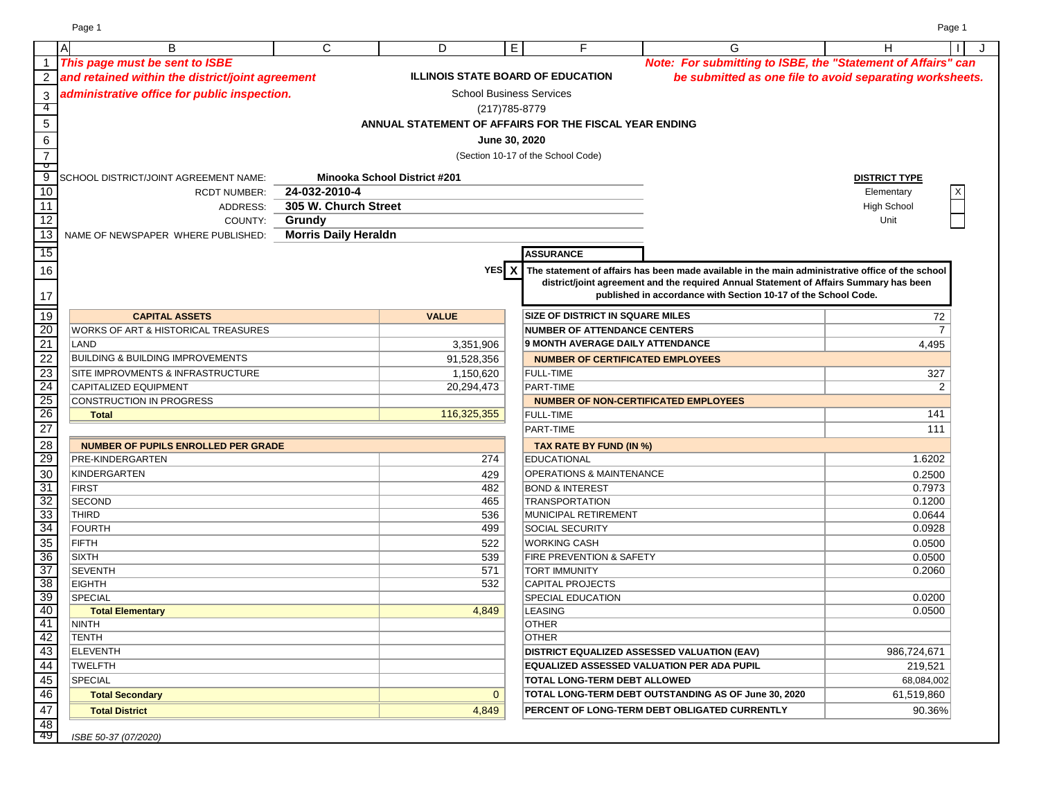|                                                       | <b>A</b><br>B                                    | C                           | D                                   | $\overline{E}$ | F                                                      | G                                                                                                | H                    | J<br>$\perp$ |
|-------------------------------------------------------|--------------------------------------------------|-----------------------------|-------------------------------------|----------------|--------------------------------------------------------|--------------------------------------------------------------------------------------------------|----------------------|--------------|
| $\mathbf{1}$                                          | This page must be sent to ISBE                   |                             |                                     |                |                                                        | Note: For submitting to ISBE, the "Statement of Affairs" can                                     |                      |              |
| $\overline{2}$                                        | and retained within the district/joint agreement |                             |                                     |                | <b>ILLINOIS STATE BOARD OF EDUCATION</b>               | be submitted as one file to avoid separating worksheets.                                         |                      |              |
| $\sqrt{3}$                                            | administrative office for public inspection.     |                             |                                     |                | <b>School Business Services</b>                        |                                                                                                  |                      |              |
| $\overline{4}$                                        |                                                  |                             |                                     | (217) 785-8779 |                                                        |                                                                                                  |                      |              |
| $5\phantom{.0}$                                       |                                                  |                             |                                     |                | ANNUAL STATEMENT OF AFFAIRS FOR THE FISCAL YEAR ENDING |                                                                                                  |                      |              |
| $\,6\,$                                               |                                                  |                             |                                     | June 30, 2020  |                                                        |                                                                                                  |                      |              |
|                                                       |                                                  |                             |                                     |                |                                                        |                                                                                                  |                      |              |
| $\overline{7}$<br>$\overline{\phantom{a}}$            |                                                  |                             |                                     |                | (Section 10-17 of the School Code)                     |                                                                                                  |                      |              |
| 9                                                     | SCHOOL DISTRICT/JOINT AGREEMENT NAME:            |                             | <b>Minooka School District #201</b> |                |                                                        |                                                                                                  | <b>DISTRICT TYPE</b> |              |
| 10                                                    | <b>RCDT NUMBER:</b>                              | 24-032-2010-4               |                                     |                |                                                        |                                                                                                  | Elementary           |              |
| 11                                                    | ADDRESS:                                         | 305 W. Church Street        |                                     |                |                                                        |                                                                                                  | <b>High School</b>   |              |
| 12                                                    | COUNTY:                                          | Grundy                      |                                     |                |                                                        |                                                                                                  | Unit                 |              |
| 13                                                    | NAME OF NEWSPAPER WHERE PUBLISHED:               | <b>Morris Daily Heraldn</b> |                                     |                |                                                        |                                                                                                  |                      |              |
| $\overline{15}$                                       |                                                  |                             |                                     |                | <b>ASSURANCE</b>                                       |                                                                                                  |                      |              |
| $16\,$                                                |                                                  |                             |                                     | YES X          |                                                        | The statement of affairs has been made available in the main administrative office of the school |                      |              |
|                                                       |                                                  |                             |                                     |                |                                                        | district/joint agreement and the required Annual Statement of Affairs Summary has been           |                      |              |
| $17$                                                  |                                                  |                             |                                     |                |                                                        | published in accordance with Section 10-17 of the School Code.                                   |                      |              |
| $\frac{1}{19}$                                        | <b>CAPITAL ASSETS</b>                            |                             |                                     |                | <b>SIZE OF DISTRICT IN SQUARE MILES</b>                |                                                                                                  |                      |              |
| 20                                                    | WORKS OF ART & HISTORICAL TREASURES              |                             | <b>VALUE</b>                        |                | <b>NUMBER OF ATTENDANCE CENTERS</b>                    |                                                                                                  | 72<br>$\overline{7}$ |              |
| 21                                                    | LAND                                             |                             | 3,351,906                           |                | 9 MONTH AVERAGE DAILY ATTENDANCE                       |                                                                                                  | 4,495                |              |
| $\overline{22}$                                       | <b>BUILDING &amp; BUILDING IMPROVEMENTS</b>      |                             | 91,528,356                          |                | <b>NUMBER OF CERTIFICATED EMPLOYEES</b>                |                                                                                                  |                      |              |
| 23                                                    | <b>SITE IMPROVMENTS &amp; INFRASTRUCTURE</b>     |                             | 1,150,620                           |                | <b>FULL-TIME</b>                                       |                                                                                                  | 327                  |              |
|                                                       | CAPITALIZED EQUIPMENT                            |                             | 20,294,473                          |                | PART-TIME                                              |                                                                                                  | 2                    |              |
|                                                       | CONSTRUCTION IN PROGRESS                         |                             |                                     |                | <b>NUMBER OF NON-CERTIFICATED EMPLOYEES</b>            |                                                                                                  |                      |              |
| $\frac{24}{25}$                                       | <b>Total</b>                                     |                             | 116,325,355                         |                | <b>FULL-TIME</b>                                       |                                                                                                  | 141                  |              |
| $\overline{27}$                                       |                                                  |                             |                                     |                | PART-TIME                                              |                                                                                                  | 111                  |              |
| $\overline{28}$                                       | <b>NUMBER OF PUPILS ENROLLED PER GRADE</b>       |                             |                                     |                | TAX RATE BY FUND (IN %)                                |                                                                                                  |                      |              |
| 29                                                    | PRE-KINDERGARTEN                                 |                             |                                     | 274            | <b>EDUCATIONAL</b>                                     |                                                                                                  | 1.6202               |              |
| 30                                                    | KINDERGARTEN                                     |                             |                                     | 429            | <b>OPERATIONS &amp; MAINTENANCE</b>                    |                                                                                                  | 0.2500               |              |
| 31                                                    | <b>FIRST</b>                                     |                             |                                     | 482            | <b>BOND &amp; INTEREST</b>                             |                                                                                                  | 0.7973               |              |
|                                                       | <b>SECOND</b>                                    |                             |                                     | 465            | <b>TRANSPORTATION</b>                                  |                                                                                                  | 0.1200               |              |
|                                                       | <b>THIRD</b>                                     |                             |                                     | 536            | MUNICIPAL RETIREMENT                                   |                                                                                                  | 0.0644               |              |
| $\begin{array}{c}\n 32 \\  \hline\n 34\n \end{array}$ | FOURTH                                           |                             |                                     | 499            | <b>SOCIAL SECURITY</b>                                 |                                                                                                  | 0.0928               |              |
| 35                                                    | FIFTH                                            |                             |                                     | 522            | <b>WORKING CASH</b>                                    |                                                                                                  | 0.0500               |              |
| 36                                                    | <b>SIXTH</b>                                     |                             |                                     | 539            | <b>FIRE PREVENTION &amp; SAFETY</b>                    |                                                                                                  | 0.0500               |              |
| $\overline{37}$                                       | <b>SEVENTH</b>                                   |                             |                                     | 571            | <b>TORT IMMUNITY</b>                                   |                                                                                                  | 0.2060               |              |
| $\frac{38}{39}$                                       | <b>EIGHTH</b>                                    |                             |                                     | 532            | CAPITAL PROJECTS                                       |                                                                                                  |                      |              |
|                                                       | SPECIAL                                          |                             |                                     |                | <b>SPECIAL EDUCATION</b>                               |                                                                                                  | 0.0200               |              |
| 40                                                    | <b>Total Elementary</b>                          |                             | 4,849                               |                | <b>LEASING</b>                                         |                                                                                                  | 0.0500               |              |
| 41                                                    | NINTH                                            |                             |                                     |                | <b>OTHER</b>                                           |                                                                                                  |                      |              |
| 42                                                    | TENTH                                            |                             |                                     |                | <b>OTHER</b>                                           |                                                                                                  |                      |              |
| 43                                                    | <b>ELEVENTH</b>                                  |                             |                                     |                | <b>DISTRICT EQUALIZED ASSESSED VALUATION (EAV)</b>     |                                                                                                  | 986,724,671          |              |
| 44                                                    | TWELFTH                                          |                             |                                     |                |                                                        | <b>EQUALIZED ASSESSED VALUATION PER ADA PUPIL</b>                                                | 219,521              |              |
| 45                                                    | <b>SPECIAL</b>                                   |                             |                                     |                | TOTAL LONG-TERM DEBT ALLOWED                           |                                                                                                  | 68,084,002           |              |
| 46                                                    | <b>Total Secondary</b>                           |                             |                                     | $\mathbf{0}$   |                                                        | TOTAL LONG-TERM DEBT OUTSTANDING AS OF June 30, 2020                                             | 61,519,860           |              |
| 47                                                    | <b>Total District</b>                            |                             |                                     | 4,849          |                                                        | PERCENT OF LONG-TERM DEBT OBLIGATED CURRENTLY                                                    | 90.36%               |              |
| $\frac{48}{49}$                                       |                                                  |                             |                                     |                |                                                        |                                                                                                  |                      |              |
|                                                       | ISBE 50-37 (07/2020)                             |                             |                                     |                |                                                        |                                                                                                  |                      |              |

Page 1 Page 1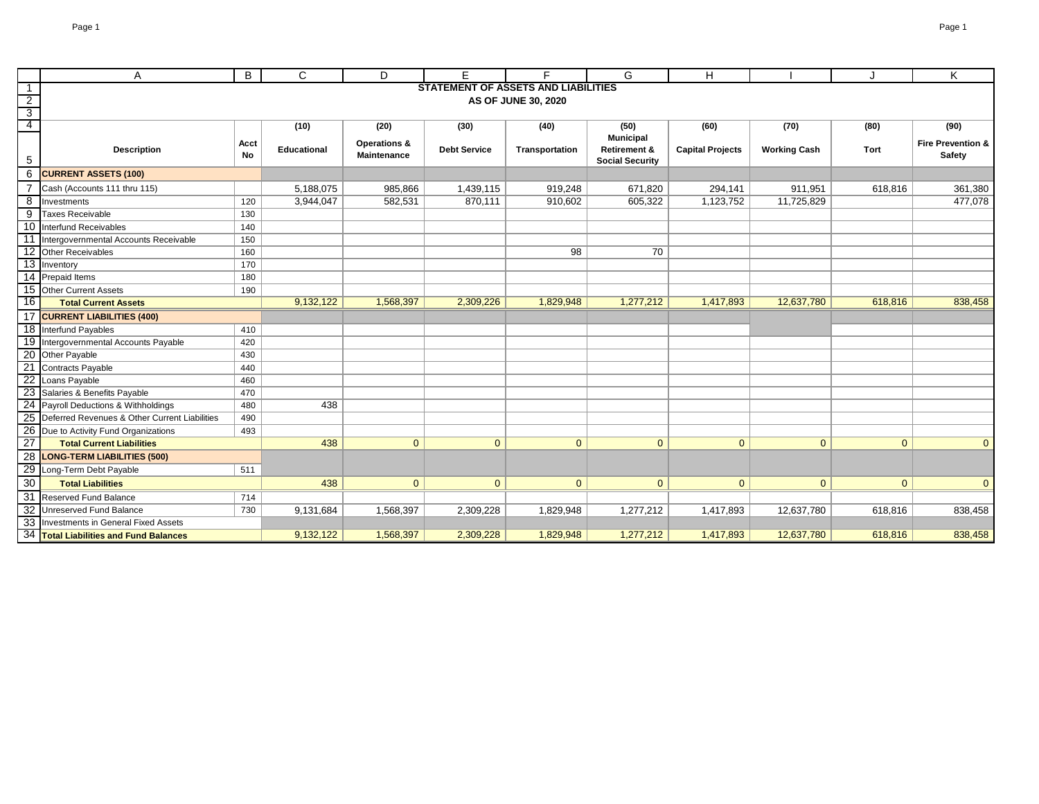|                                  | A                                                | B          | C                  | D                                      | F                   | F.                                         | G                                                 | н                       |                     |                | K                                      |
|----------------------------------|--------------------------------------------------|------------|--------------------|----------------------------------------|---------------------|--------------------------------------------|---------------------------------------------------|-------------------------|---------------------|----------------|----------------------------------------|
|                                  |                                                  |            |                    |                                        |                     | <b>STATEMENT OF ASSETS AND LIABILITIES</b> |                                                   |                         |                     |                |                                        |
| $\overline{2}$                   |                                                  |            |                    |                                        |                     | AS OF JUNE 30, 2020                        |                                                   |                         |                     |                |                                        |
| $\overline{3}$<br>$\overline{4}$ |                                                  |            | (10)               | (20)                                   | (30)                | (40)                                       | (50)                                              | (60)                    | (70)                | (80)           | (90)                                   |
|                                  |                                                  |            |                    |                                        |                     |                                            | <b>Municipal</b>                                  |                         |                     |                |                                        |
| 5                                | <b>Description</b>                               | Acct<br>No | <b>Educational</b> | <b>Operations &amp;</b><br>Maintenance | <b>Debt Service</b> | Transportation                             | <b>Retirement &amp;</b><br><b>Social Security</b> | <b>Capital Projects</b> | <b>Working Cash</b> | Tort           | <b>Fire Prevention &amp;</b><br>Safety |
| 6                                | <b>CURRENT ASSETS (100)</b>                      |            |                    |                                        |                     |                                            |                                                   |                         |                     |                |                                        |
|                                  | Cash (Accounts 111 thru 115)                     |            | 5,188,075          | 985,866                                | 1,439,115           | 919,248                                    | 671,820                                           | 294,141                 | 911,951             | 618,816        | 361,380                                |
| 8                                | Investments                                      | 120        | 3,944,047          | 582,531                                | 870,111             | 910,602                                    | 605,322                                           | 1,123,752               | 11,725,829          |                | 477,078                                |
| 9                                | <b>Taxes Receivable</b>                          | 130        |                    |                                        |                     |                                            |                                                   |                         |                     |                |                                        |
| 10                               | Interfund Receivables                            | 140        |                    |                                        |                     |                                            |                                                   |                         |                     |                |                                        |
| -11                              | Intergovernmental Accounts Receivable            | 150        |                    |                                        |                     |                                            |                                                   |                         |                     |                |                                        |
| 12                               | Other Receivables                                | 160        |                    |                                        |                     | 98                                         | 70                                                |                         |                     |                |                                        |
|                                  | 13 Inventory                                     | 170        |                    |                                        |                     |                                            |                                                   |                         |                     |                |                                        |
|                                  | 14 Prepaid Items                                 | 180        |                    |                                        |                     |                                            |                                                   |                         |                     |                |                                        |
|                                  | 15 Other Current Assets                          | 190        |                    |                                        |                     |                                            |                                                   |                         |                     |                |                                        |
| 16                               | <b>Total Current Assets</b>                      |            | 9,132,122          | 1,568,397                              | 2,309,226           | 1,829,948                                  | 1,277,212                                         | 1,417,893               | 12,637,780          | 618,816        | 838,458                                |
|                                  | 17 CURRENT LIABILITIES (400)                     |            |                    |                                        |                     |                                            |                                                   |                         |                     |                |                                        |
|                                  | 18 Interfund Payables                            | 410        |                    |                                        |                     |                                            |                                                   |                         |                     |                |                                        |
|                                  | 19 Intergovernmental Accounts Payable            | 420        |                    |                                        |                     |                                            |                                                   |                         |                     |                |                                        |
|                                  | 20 Other Payable                                 | 430        |                    |                                        |                     |                                            |                                                   |                         |                     |                |                                        |
|                                  | 21 Contracts Payable                             | 440        |                    |                                        |                     |                                            |                                                   |                         |                     |                |                                        |
|                                  | 22 Loans Payable                                 | 460        |                    |                                        |                     |                                            |                                                   |                         |                     |                |                                        |
|                                  | 23 Salaries & Benefits Payable                   | 470        |                    |                                        |                     |                                            |                                                   |                         |                     |                |                                        |
|                                  | 24 Payroll Deductions & Withholdings             | 480        | 438                |                                        |                     |                                            |                                                   |                         |                     |                |                                        |
|                                  | 25 Deferred Revenues & Other Current Liabilities | 490        |                    |                                        |                     |                                            |                                                   |                         |                     |                |                                        |
| $\overline{26}$                  | Due to Activity Fund Organizations               | 493        |                    |                                        |                     |                                            |                                                   |                         |                     |                |                                        |
| $\overline{27}$                  | <b>Total Current Liabilities</b>                 |            | 438                | $\mathbf{0}$                           | $\mathbf{0}$        | $\mathbf{0}$                               | $\mathbf{0}$                                      | $\mathbf{0}$            | $\mathbf{0}$        | $\overline{0}$ | $\overline{0}$                         |
| 28                               | <b>LONG-TERM LIABILITIES (500)</b>               |            |                    |                                        |                     |                                            |                                                   |                         |                     |                |                                        |
| 29                               | Long-Term Debt Payable                           | 511        |                    |                                        |                     |                                            |                                                   |                         |                     |                |                                        |
| 30                               | <b>Total Liabilities</b>                         |            | 438                | $\overline{0}$                         | $\mathbf{0}$        | $\mathbf{0}$                               | $\mathbf{0}$                                      | $\overline{0}$          | $\mathbf{0}$        | $\overline{0}$ | $\mathbf{0}$                           |
|                                  | 31 Reserved Fund Balance                         | 714        |                    |                                        |                     |                                            |                                                   |                         |                     |                |                                        |
|                                  | 32 Unreserved Fund Balance                       | 730        | 9,131,684          | 1,568,397                              | 2,309,228           | 1,829,948                                  | 1,277,212                                         | 1,417,893               | 12,637,780          | 618,816        | 838,458                                |
|                                  | 33 Investments in General Fixed Assets           |            |                    |                                        |                     |                                            |                                                   |                         |                     |                |                                        |
|                                  | 34 Total Liabilities and Fund Balances           |            | 9,132,122          | 1,568,397                              | 2,309,228           | 1,829,948                                  | 1,277,212                                         | 1,417,893               | 12,637,780          | 618,816        | 838,458                                |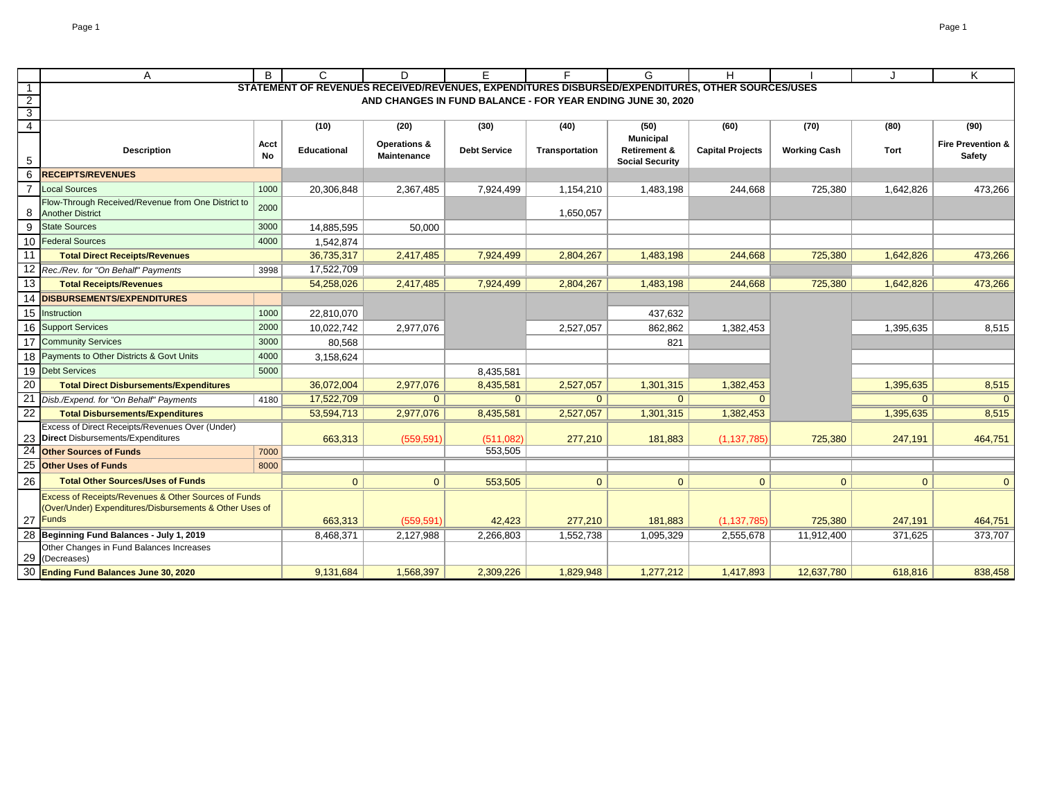|                                           | Α                                                                             | B          | C                  | D                                      | E.                  | F.                                                                                               | G                        | Н                       |                     |                | Κ                                  |
|-------------------------------------------|-------------------------------------------------------------------------------|------------|--------------------|----------------------------------------|---------------------|--------------------------------------------------------------------------------------------------|--------------------------|-------------------------|---------------------|----------------|------------------------------------|
| $\overline{1}$                            |                                                                               |            |                    |                                        |                     | STATEMENT OF REVENUES RECEIVED/REVENUES, EXPENDITURES DISBURSED/EXPENDITURES, OTHER SOURCES/USES |                          |                         |                     |                |                                    |
| $\overline{2}$                            |                                                                               |            |                    |                                        |                     | AND CHANGES IN FUND BALANCE - FOR YEAR ENDING JUNE 30, 2020                                      |                          |                         |                     |                |                                    |
| $\overline{\mathbf{3}}$<br>$\overline{4}$ |                                                                               |            | (10)               |                                        |                     | (40)                                                                                             |                          |                         |                     |                |                                    |
|                                           |                                                                               |            |                    | (20)                                   | (30)                |                                                                                                  | (50)<br><b>Municipal</b> | (60)                    | (70)                | (80)           | (90)                               |
|                                           | <b>Description</b>                                                            | Acct<br>No | <b>Educational</b> | <b>Operations &amp;</b><br>Maintenance | <b>Debt Service</b> | Transportation                                                                                   | Retirement &             | <b>Capital Projects</b> | <b>Working Cash</b> | Tort           | Fire Prevention &<br><b>Safety</b> |
| 5                                         |                                                                               |            |                    |                                        |                     |                                                                                                  | <b>Social Security</b>   |                         |                     |                |                                    |
| 6                                         | <b>RECEIPTS/REVENUES</b>                                                      |            |                    |                                        |                     |                                                                                                  |                          |                         |                     |                |                                    |
|                                           | <b>Local Sources</b>                                                          | 1000       | 20,306,848         | 2,367,485                              | 7,924,499           | 1,154,210                                                                                        | 1,483,198                | 244,668                 | 725,380             | 1,642,826      | 473,266                            |
| 8                                         | Flow-Through Received/Revenue from One District to<br><b>Another District</b> | 2000       |                    |                                        |                     | 1,650,057                                                                                        |                          |                         |                     |                |                                    |
| 9                                         | <b>State Sources</b>                                                          | 3000       | 14,885,595         | 50,000                                 |                     |                                                                                                  |                          |                         |                     |                |                                    |
| 10                                        | <b>Federal Sources</b>                                                        | 4000       | 1,542,874          |                                        |                     |                                                                                                  |                          |                         |                     |                |                                    |
| 11                                        | <b>Total Direct Receipts/Revenues</b>                                         |            | 36,735,317         | 2,417,485                              | 7,924,499           | 2,804,267                                                                                        | 1,483,198                | 244,668                 | 725,380             | 1,642,826      | 473,266                            |
| 12                                        | Rec./Rev. for "On Behalf" Payments                                            | 3998       | 17,522,709         |                                        |                     |                                                                                                  |                          |                         |                     |                |                                    |
| 13                                        | <b>Total Receipts/Revenues</b>                                                |            | 54,258,026         | 2,417,485                              | 7,924,499           | 2,804,267                                                                                        | 1,483,198                | 244,668                 | 725,380             | 1,642,826      | 473,266                            |
|                                           | 14 DISBURSEMENTS/EXPENDITURES                                                 |            |                    |                                        |                     |                                                                                                  |                          |                         |                     |                |                                    |
|                                           | 15 Instruction                                                                | 1000       | 22,810,070         |                                        |                     |                                                                                                  | 437,632                  |                         |                     |                |                                    |
|                                           | 16 Support Services                                                           | 2000       | 10,022,742         | 2,977,076                              |                     | 2,527,057                                                                                        | 862,862                  | 1,382,453               |                     | 1.395.635      | 8,515                              |
| 17                                        | <b>Community Services</b>                                                     | 3000       | 80,568             |                                        |                     |                                                                                                  | 821                      |                         |                     |                |                                    |
| 18                                        | Payments to Other Districts & Govt Units                                      | 4000       | 3,158,624          |                                        |                     |                                                                                                  |                          |                         |                     |                |                                    |
| 19                                        | <b>Debt Services</b>                                                          | 5000       |                    |                                        | 8,435,581           |                                                                                                  |                          |                         |                     |                |                                    |
| 20                                        | <b>Total Direct Disbursements/Expenditures</b>                                |            | 36,072,004         | 2,977,076                              | 8,435,581           | 2,527,057                                                                                        | 1,301,315                | 1,382,453               |                     | 1,395,635      | 8,515                              |
| 21                                        | Disb./Expend. for "On Behalf" Payments                                        | 4180       | 17,522,709         | $\mathbf{0}$                           | $\Omega$            | $\overline{0}$                                                                                   | $\Omega$                 | $\Omega$                |                     | $\overline{0}$ | $\mathbf{0}$                       |
| $\overline{22}$                           | <b>Total Disbursements/Expenditures</b>                                       |            | 53,594,713         | 2,977,076                              | 8,435,581           | 2,527,057                                                                                        | 1,301,315                | 1,382,453               |                     | 1,395,635      | 8,515                              |
|                                           | Excess of Direct Receipts/Revenues Over (Under)                               |            |                    |                                        |                     |                                                                                                  |                          |                         |                     |                |                                    |
|                                           | 23 Direct Disbursements/Expenditures                                          |            | 663,313            | (559, 591)                             | (511,082)           | 277,210                                                                                          | 181,883                  | (1, 137, 785)           | 725,380             | 247,191        | 464,751                            |
| 24                                        | <b>Other Sources of Funds</b>                                                 | 7000       |                    |                                        | 553,505             |                                                                                                  |                          |                         |                     |                |                                    |
| 25                                        | <b>Other Uses of Funds</b>                                                    | 8000       |                    |                                        |                     |                                                                                                  |                          |                         |                     |                |                                    |
| 26                                        | <b>Total Other Sources/Uses of Funds</b>                                      |            | $\mathbf{0}$       | $\overline{0}$                         | 553,505             | $\overline{0}$                                                                                   | $\mathbf{0}$             | $\mathbf{0}$            | $\mathbf{0}$        | $\overline{0}$ | $\overline{0}$                     |
|                                           | Excess of Receipts/Revenues & Other Sources of Funds                          |            |                    |                                        |                     |                                                                                                  |                          |                         |                     |                |                                    |
|                                           | (Over/Under) Expenditures/Disbursements & Other Uses of<br>27 Funds           |            | 663,313            | (559, 591)                             | 42,423              | 277,210                                                                                          | 181,883                  | (1, 137, 785)           | 725,380             | 247.191        | 464,751                            |
|                                           | Beginning Fund Balances - July 1, 2019                                        |            | 8,468,371          | 2,127,988                              | 2,266,803           | 1,552,738                                                                                        | 1,095,329                | 2,555,678               | 11,912,400          | 371,625        | 373,707                            |
|                                           | Other Changes in Fund Balances Increases                                      |            |                    |                                        |                     |                                                                                                  |                          |                         |                     |                |                                    |
| 29                                        | (Decreases)                                                                   |            |                    |                                        |                     |                                                                                                  |                          |                         |                     |                |                                    |
|                                           | 30 Ending Fund Balances June 30, 2020                                         |            | 9,131,684          | 1,568,397                              | 2,309,226           | 1,829,948                                                                                        | 1,277,212                | 1,417,893               | 12,637,780          | 618,816        | 838,458                            |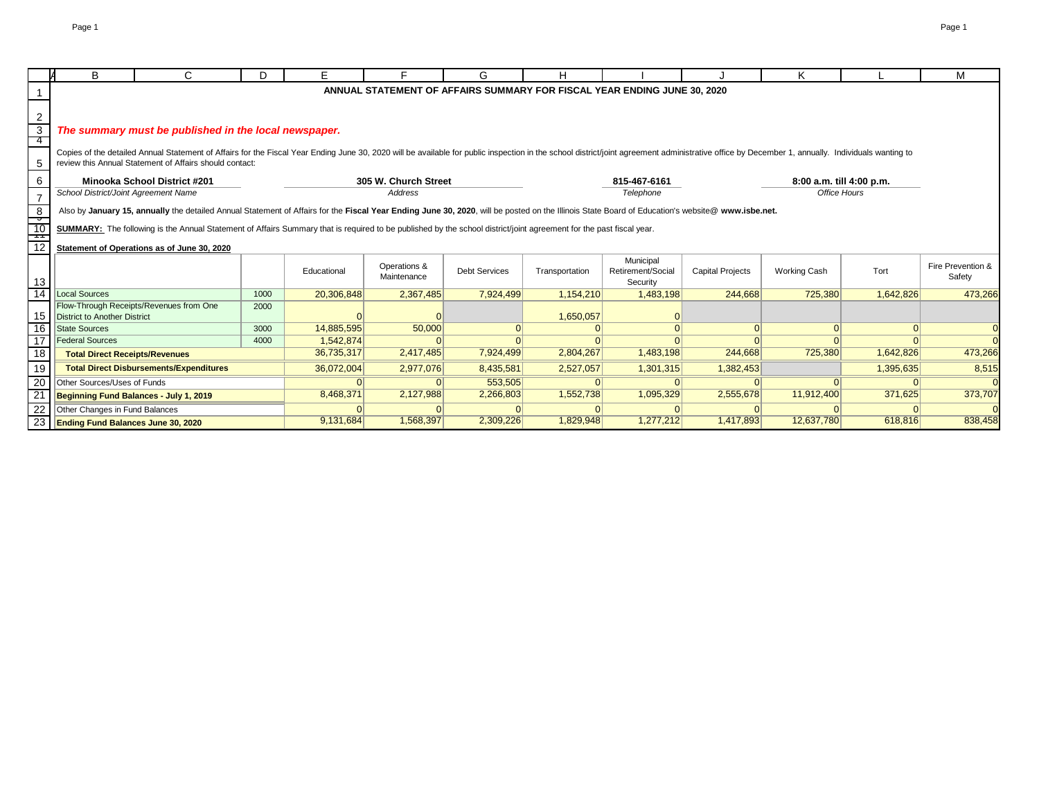|                                 | B                                         | C                                                                                                                                                                                                                                                                                         | D.   | F.          |                      | G                    |                |                                                                          |                         | κ                        |           | м                 |
|---------------------------------|-------------------------------------------|-------------------------------------------------------------------------------------------------------------------------------------------------------------------------------------------------------------------------------------------------------------------------------------------|------|-------------|----------------------|----------------------|----------------|--------------------------------------------------------------------------|-------------------------|--------------------------|-----------|-------------------|
|                                 |                                           |                                                                                                                                                                                                                                                                                           |      |             |                      |                      |                | ANNUAL STATEMENT OF AFFAIRS SUMMARY FOR FISCAL YEAR ENDING JUNE 30, 2020 |                         |                          |           |                   |
|                                 |                                           |                                                                                                                                                                                                                                                                                           |      |             |                      |                      |                |                                                                          |                         |                          |           |                   |
| 2                               |                                           |                                                                                                                                                                                                                                                                                           |      |             |                      |                      |                |                                                                          |                         |                          |           |                   |
| 3                               |                                           | The summary must be published in the local newspaper.                                                                                                                                                                                                                                     |      |             |                      |                      |                |                                                                          |                         |                          |           |                   |
| -4                              |                                           |                                                                                                                                                                                                                                                                                           |      |             |                      |                      |                |                                                                          |                         |                          |           |                   |
|                                 |                                           | Copies of the detailed Annual Statement of Affairs for the Fiscal Year Ending June 30, 2020 will be available for public inspection in the school district/joint agreement administrative office by December 1, annually. Indi<br>review this Annual Statement of Affairs should contact: |      |             |                      |                      |                |                                                                          |                         |                          |           |                   |
| 5                               |                                           |                                                                                                                                                                                                                                                                                           |      |             |                      |                      |                |                                                                          |                         |                          |           |                   |
| 6                               |                                           | <b>Minooka School District #201</b>                                                                                                                                                                                                                                                       |      |             | 305 W. Church Street |                      |                | 815-467-6161                                                             |                         | 8:00 a.m. till 4:00 p.m. |           |                   |
| $\overline{7}$                  | School District/Joint Agreement Name      |                                                                                                                                                                                                                                                                                           |      |             | <b>Address</b>       |                      |                | Telephone                                                                |                         | Office Hours             |           |                   |
| $\boldsymbol{8}$                |                                           | Also by January 15, annually the detailed Annual Statement of Affairs for the Fiscal Year Ending June 30, 2020, will be posted on the Illinois State Board of Education's website@ www.isbe.net.                                                                                          |      |             |                      |                      |                |                                                                          |                         |                          |           |                   |
| $\overline{\phantom{a}}$<br>-10 |                                           | SUMMARY: The following is the Annual Statement of Affairs Summary that is required to be published by the school district/joint agreement for the past fiscal year.                                                                                                                       |      |             |                      |                      |                |                                                                          |                         |                          |           |                   |
|                                 |                                           |                                                                                                                                                                                                                                                                                           |      |             |                      |                      |                |                                                                          |                         |                          |           |                   |
| 12                              |                                           | Statement of Operations as of June 30, 2020                                                                                                                                                                                                                                               |      |             |                      |                      |                |                                                                          |                         |                          |           |                   |
|                                 |                                           |                                                                                                                                                                                                                                                                                           |      |             | Operations &         |                      |                | Municipal                                                                |                         |                          |           | Fire Prevention & |
| 13                              |                                           |                                                                                                                                                                                                                                                                                           |      | Educational | Maintenance          | <b>Debt Services</b> | Transportation | Retirement/Social<br>Security                                            | <b>Capital Projects</b> | <b>Working Cash</b>      | Tort      | Safety            |
| 14                              | <b>Local Sources</b>                      |                                                                                                                                                                                                                                                                                           | 1000 | 20,306,848  | 2.367.485            | 7.924.499            | 1.154.210      | 1,483,198                                                                | 244.668                 | 725,380                  | 1,642,826 | 473,266           |
|                                 |                                           | Flow-Through Receipts/Revenues from One                                                                                                                                                                                                                                                   | 2000 |             |                      |                      |                |                                                                          |                         |                          |           |                   |
| 15                              | <b>District to Another District</b>       |                                                                                                                                                                                                                                                                                           |      |             |                      |                      | 1,650,057      |                                                                          |                         |                          |           |                   |
| 16                              | State Sources                             |                                                                                                                                                                                                                                                                                           | 3000 | 14,885,595  | 50,000               |                      |                |                                                                          |                         |                          |           |                   |
| 17                              | <b>Federal Sources</b>                    |                                                                                                                                                                                                                                                                                           | 4000 | 1,542,874   |                      |                      |                |                                                                          |                         |                          |           |                   |
| 18                              | <b>Total Direct Receipts/Revenues</b>     |                                                                                                                                                                                                                                                                                           |      | 36,735,317  | 2,417,485            | 7,924,499            | 2,804,267      | 1,483,198                                                                | 244,668                 | 725,380                  | 1,642,826 | 473,266           |
| 19                              |                                           | <b>Total Direct Disbursements/Expenditures</b>                                                                                                                                                                                                                                            |      | 36,072,004  | 2,977,076            | 8,435,581            | 2,527,057      | 1,301,315                                                                | 1,382,453               |                          | 1,395,635 | 8,515             |
| 20                              | Other Sources/Uses of Funds               |                                                                                                                                                                                                                                                                                           |      |             |                      | 553,505              |                |                                                                          |                         |                          |           |                   |
| 21                              | Beginning Fund Balances - July 1, 2019    |                                                                                                                                                                                                                                                                                           |      | 8,468,371   | 2,127,988            | 2,266,803            | 1,552,738      | 1,095,329                                                                | 2,555,678               | 11,912,400               | 371,625   | 373,707           |
| 22                              | Other Changes in Fund Balances            |                                                                                                                                                                                                                                                                                           |      |             |                      |                      |                |                                                                          |                         |                          |           |                   |
| 23                              | <b>Ending Fund Balances June 30, 2020</b> |                                                                                                                                                                                                                                                                                           |      | 9,131,684   | 1,568,397            | 2,309,226            | 1,829,948      | 1,277,212                                                                | 1,417,893               | 12,637,780               | 618,816   | 838,458           |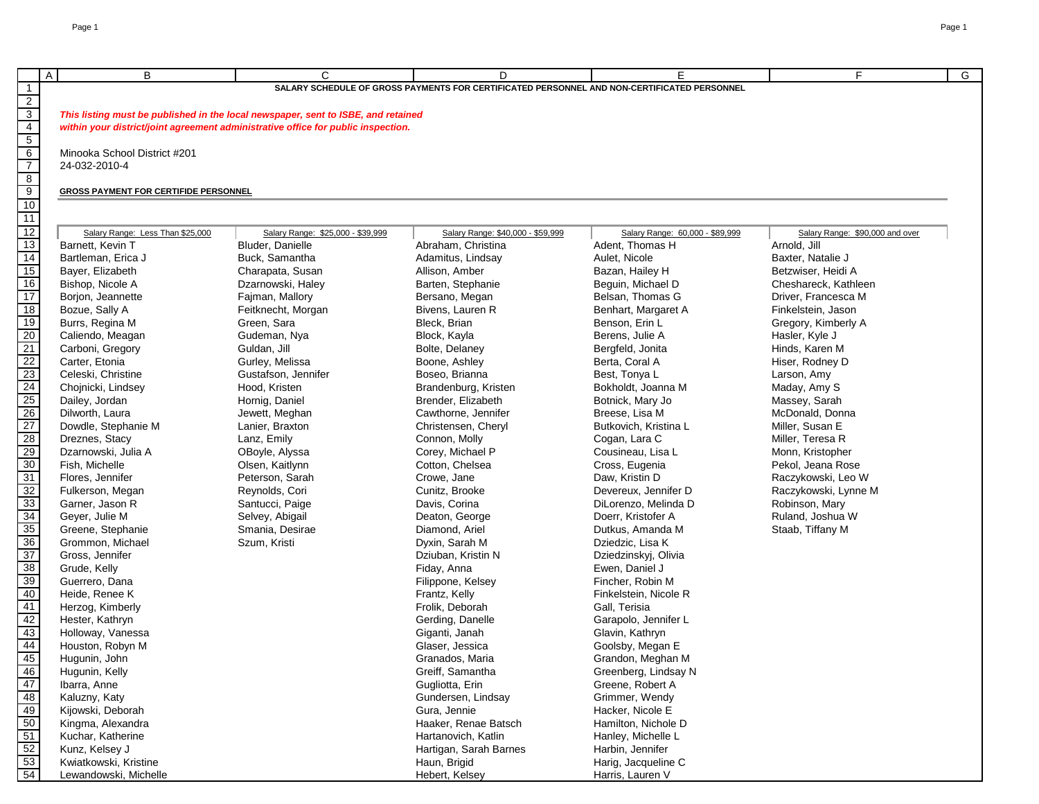|                                            | $\overline{A}$<br>B                          | C                                                                                 | D                                                                                           | E.                              | F.<br>G                         |  |  |  |  |  |
|--------------------------------------------|----------------------------------------------|-----------------------------------------------------------------------------------|---------------------------------------------------------------------------------------------|---------------------------------|---------------------------------|--|--|--|--|--|
| $\overline{1}$                             |                                              |                                                                                   | SALARY SCHEDULE OF GROSS PAYMENTS FOR CERTIFICATED PERSONNEL AND NON-CERTIFICATED PERSONNEL |                                 |                                 |  |  |  |  |  |
| $\overline{2}$                             |                                              |                                                                                   |                                                                                             |                                 |                                 |  |  |  |  |  |
| $\begin{array}{r} 3 \\ 4 \\ 5 \end{array}$ |                                              | This listing must be published in the local newspaper, sent to ISBE, and retained |                                                                                             |                                 |                                 |  |  |  |  |  |
|                                            |                                              | within your district/joint agreement administrative office for public inspection. |                                                                                             |                                 |                                 |  |  |  |  |  |
|                                            |                                              |                                                                                   |                                                                                             |                                 |                                 |  |  |  |  |  |
|                                            | Minooka School District #201                 |                                                                                   |                                                                                             |                                 |                                 |  |  |  |  |  |
| $\frac{6}{7}$                              | 24-032-2010-4                                |                                                                                   |                                                                                             |                                 |                                 |  |  |  |  |  |
| $\overline{8}$                             |                                              |                                                                                   |                                                                                             |                                 |                                 |  |  |  |  |  |
|                                            | <b>GROSS PAYMENT FOR CERTIFIDE PERSONNEL</b> |                                                                                   |                                                                                             |                                 |                                 |  |  |  |  |  |
| $\frac{9}{10}$                             |                                              |                                                                                   |                                                                                             |                                 |                                 |  |  |  |  |  |
|                                            |                                              |                                                                                   |                                                                                             |                                 |                                 |  |  |  |  |  |
| 11                                         |                                              |                                                                                   |                                                                                             |                                 |                                 |  |  |  |  |  |
| 12                                         | Salary Range: Less Than \$25,000             | Salary Range: \$25,000 - \$39,999                                                 | Salary Range: \$40,000 - \$59,999                                                           | Salary Range: 60,000 - \$89,999 | Salary Range: \$90,000 and over |  |  |  |  |  |
| 13                                         | Barnett, Kevin T                             | Bluder, Danielle                                                                  | Abraham, Christina                                                                          | Adent, Thomas H                 | Arnold, Jill                    |  |  |  |  |  |
| 14                                         | Bartleman, Erica J                           | Buck, Samantha                                                                    | Adamitus, Lindsay                                                                           | Aulet, Nicole                   | Baxter, Natalie J               |  |  |  |  |  |
| 15                                         | Bayer, Elizabeth                             | Charapata, Susan                                                                  | Allison, Amber                                                                              | Bazan, Hailey H                 | Betzwiser, Heidi A              |  |  |  |  |  |
| 16                                         | Bishop, Nicole A                             | Dzarnowski, Haley                                                                 | Barten, Stephanie                                                                           | Beguin, Michael D               | Cheshareck, Kathleen            |  |  |  |  |  |
| $\overline{17}$                            | Borjon, Jeannette                            | Fajman, Mallory                                                                   | Bersano, Megan                                                                              | Belsan, Thomas G                | Driver, Francesca M             |  |  |  |  |  |
| 18                                         | Bozue, Sally A                               | Feitknecht, Morgan                                                                | Bivens, Lauren R                                                                            | Benhart, Margaret A             | Finkelstein, Jason              |  |  |  |  |  |
| 19                                         | Burrs, Regina M                              | Green, Sara                                                                       | Bleck, Brian                                                                                | Benson, Erin L                  | Gregory, Kimberly A             |  |  |  |  |  |
| 20                                         | Caliendo, Meagan                             | Gudeman, Nya                                                                      | Block, Kayla                                                                                | Berens, Julie A                 | Hasler, Kyle J                  |  |  |  |  |  |
| 21                                         | Carboni, Gregory                             | Guldan, Jill                                                                      | Bolte, Delaney                                                                              | Bergfeld, Jonita                | Hinds, Karen M                  |  |  |  |  |  |
| 22                                         | Carter, Etonia                               | Gurley, Melissa                                                                   | Boone, Ashley                                                                               | Berta, Coral A                  | Hiser, Rodney D                 |  |  |  |  |  |
|                                            | Celeski, Christine                           | Gustafson, Jennifer                                                               | Boseo, Brianna                                                                              | Best, Tonya L                   | Larson, Amy                     |  |  |  |  |  |
| $\frac{23}{24}$                            | Chojnicki, Lindsey                           | Hood. Kristen                                                                     | Brandenburg, Kristen                                                                        | Bokholdt, Joanna M              | Maday, Amy S                    |  |  |  |  |  |
| 25                                         | Dailey, Jordan                               | Hornig, Daniel                                                                    | Brender, Elizabeth                                                                          | Botnick, Mary Jo                | Massey, Sarah                   |  |  |  |  |  |
|                                            | Dilworth, Laura                              | Jewett, Meghan                                                                    | Cawthorne, Jennifer                                                                         | Breese, Lisa M                  | McDonald, Donna                 |  |  |  |  |  |
| $\frac{26}{27}$                            | Dowdle, Stephanie M                          | Lanier, Braxton                                                                   | Christensen, Cheryl                                                                         | Butkovich, Kristina L           | Miller, Susan E                 |  |  |  |  |  |
| 28                                         | Dreznes, Stacy                               | Lanz, Emily                                                                       | Connon, Molly                                                                               | Cogan, Lara C                   | Miller, Teresa R                |  |  |  |  |  |
| 29                                         | Dzarnowski, Julia A                          | OBoyle, Alyssa                                                                    | Corey, Michael P                                                                            | Cousineau, Lisa L               | Monn, Kristopher                |  |  |  |  |  |
| $\overline{30}$                            | Fish, Michelle                               | Olsen, Kaitlynn                                                                   | Cotton, Chelsea                                                                             | Cross, Eugenia                  | Pekol, Jeana Rose               |  |  |  |  |  |
|                                            | Flores, Jennifer                             | Peterson, Sarah                                                                   | Crowe, Jane                                                                                 | Daw, Kristin D                  | Raczykowski, Leo W              |  |  |  |  |  |
| 31                                         |                                              |                                                                                   |                                                                                             |                                 |                                 |  |  |  |  |  |
| 32                                         | Fulkerson, Megan                             | Reynolds, Cori                                                                    | Cunitz, Brooke                                                                              | Devereux, Jennifer D            | Raczykowski, Lynne M            |  |  |  |  |  |
| 33                                         | Garner, Jason R                              | Santucci, Paige                                                                   | Davis, Corina                                                                               | DiLorenzo, Melinda D            | Robinson, Mary                  |  |  |  |  |  |
| $\frac{34}{35}$                            | Geyer, Julie M                               | Selvey, Abigail                                                                   | Deaton, George                                                                              | Doerr, Kristofer A              | Ruland, Joshua W                |  |  |  |  |  |
|                                            | Greene, Stephanie                            | Smania, Desirae                                                                   | Diamond, Ariel                                                                              | Dutkus, Amanda M                | Staab, Tiffany M                |  |  |  |  |  |
| 36                                         | Grommon, Michael                             | Szum, Kristi                                                                      | Dyxin, Sarah M                                                                              | Dziedzic, Lisa K                |                                 |  |  |  |  |  |
| 37                                         | Gross, Jennifer                              |                                                                                   | Dziuban, Kristin N                                                                          | Dziedzinskyj, Olivia            |                                 |  |  |  |  |  |
| 38                                         | Grude, Kelly                                 |                                                                                   | Fiday, Anna                                                                                 | Ewen, Daniel J                  |                                 |  |  |  |  |  |
| 39                                         | Guerrero, Dana                               |                                                                                   | Filippone, Kelsey                                                                           | Fincher, Robin M                |                                 |  |  |  |  |  |
| 40                                         | Heide, Renee K                               |                                                                                   | Frantz, Kelly                                                                               | Finkelstein, Nicole R           |                                 |  |  |  |  |  |
| $\overline{41}$                            | Herzog, Kimberly                             |                                                                                   | Frolik, Deborah                                                                             | Gall, Terisia                   |                                 |  |  |  |  |  |
| 42                                         | Hester, Kathryn                              |                                                                                   | Gerding, Danelle                                                                            | Garapolo, Jennifer L            |                                 |  |  |  |  |  |
| 43                                         | Holloway, Vanessa                            |                                                                                   | Giganti, Janah                                                                              | Glavin, Kathryn                 |                                 |  |  |  |  |  |
| $\overline{44}$                            | Houston, Robyn M                             |                                                                                   | Glaser, Jessica                                                                             | Goolsby, Megan E                |                                 |  |  |  |  |  |
|                                            | Hugunin, John                                |                                                                                   | Granados, Maria                                                                             | Grandon, Meghan M               |                                 |  |  |  |  |  |
| $\frac{45}{46}$                            | Hugunin, Kelly                               |                                                                                   | Greiff, Samantha                                                                            | Greenberg, Lindsay N            |                                 |  |  |  |  |  |
| $\frac{47}{48}$<br>$\frac{48}{49}$         | Ibarra, Anne                                 |                                                                                   | Gugliotta, Erin                                                                             | Greene, Robert A                |                                 |  |  |  |  |  |
|                                            | Kaluzny, Katy                                |                                                                                   | Gundersen, Lindsay                                                                          | Grimmer, Wendy                  |                                 |  |  |  |  |  |
|                                            | Kijowski, Deborah                            |                                                                                   | Gura, Jennie                                                                                | Hacker, Nicole E                |                                 |  |  |  |  |  |
| 50                                         | Kingma, Alexandra                            |                                                                                   | Haaker, Renae Batsch                                                                        | Hamilton, Nichole D             |                                 |  |  |  |  |  |
|                                            | Kuchar, Katherine                            |                                                                                   | Hartanovich, Katlin                                                                         | Hanley, Michelle L              |                                 |  |  |  |  |  |
| $\frac{51}{52}$                            | Kunz, Kelsey J                               |                                                                                   | Hartigan, Sarah Barnes                                                                      | Harbin, Jennifer                |                                 |  |  |  |  |  |
|                                            | Kwiatkowski, Kristine                        |                                                                                   | Haun, Brigid                                                                                | Harig, Jacqueline C             |                                 |  |  |  |  |  |
| $\frac{53}{54}$                            | Lewandowski, Michelle                        |                                                                                   | Hebert, Kelsey                                                                              | Harris, Lauren V                |                                 |  |  |  |  |  |
|                                            |                                              |                                                                                   |                                                                                             |                                 |                                 |  |  |  |  |  |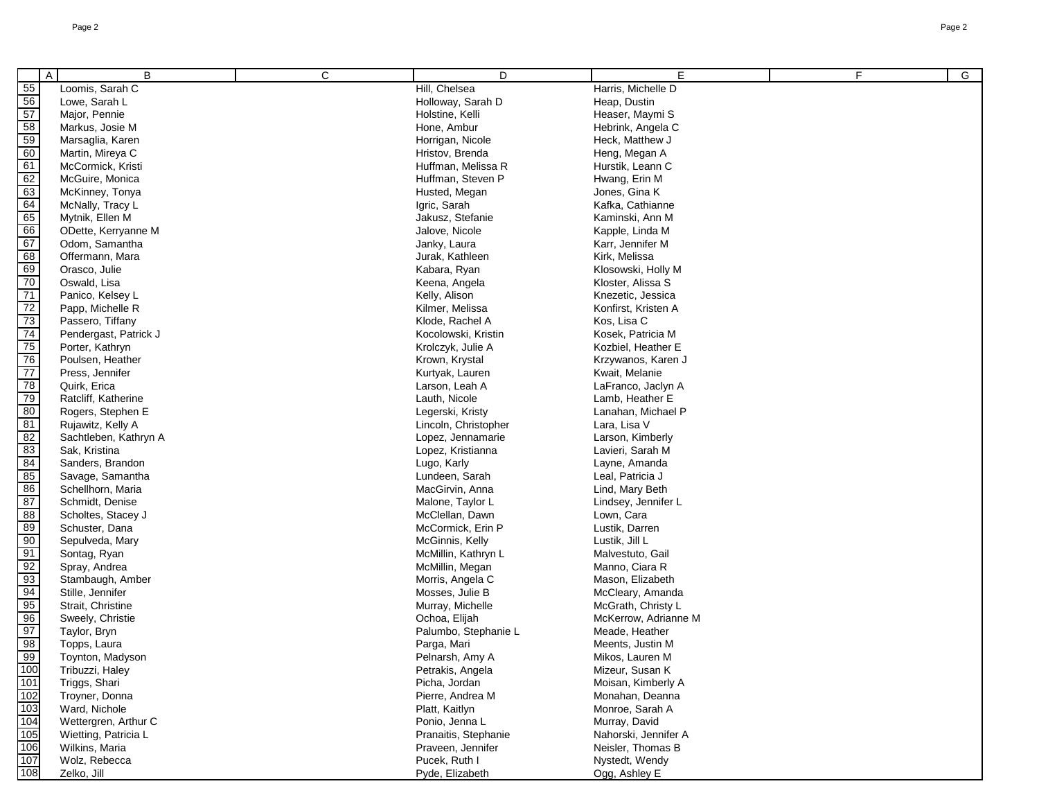|                                  | B<br>A                | C | D                    | E                    | F. | G |
|----------------------------------|-----------------------|---|----------------------|----------------------|----|---|
| 55                               | Loomis, Sarah C       |   | Hill, Chelsea        | Harris, Michelle D   |    |   |
|                                  | Lowe, Sarah L         |   | Holloway, Sarah D    | Heap, Dustin         |    |   |
| 56<br>57<br>58                   | Major, Pennie         |   | Holstine, Kelli      | Heaser, Maymi S      |    |   |
|                                  | Markus, Josie M       |   | Hone, Ambur          | Hebrink, Angela C    |    |   |
| 59                               | Marsaglia, Karen      |   | Horrigan, Nicole     | Heck, Matthew J      |    |   |
| $\overline{60}$                  | Martin, Mireya C      |   | Hristov, Brenda      | Heng, Megan A        |    |   |
|                                  | McCormick, Kristi     |   | Huffman, Melissa R   | Hurstik, Leann C     |    |   |
| 61<br>62<br>63<br>64<br>65<br>66 | McGuire, Monica       |   | Huffman, Steven P    | Hwang, Erin M        |    |   |
|                                  | McKinney, Tonya       |   | Husted, Megan        | Jones, Gina K        |    |   |
|                                  | McNally, Tracy L      |   | Igric, Sarah         | Kafka, Cathianne     |    |   |
|                                  | Mytnik, Ellen M       |   | Jakusz, Stefanie     | Kaminski, Ann M      |    |   |
|                                  | ODette, Kerryanne M   |   | Jalove, Nicole       | Kapple, Linda M      |    |   |
| 67                               | Odom, Samantha        |   | Janky, Laura         | Karr, Jennifer M     |    |   |
|                                  | Offermann, Mara       |   | Jurak, Kathleen      | Kirk, Melissa        |    |   |
| 68<br>69<br>70                   | Orasco, Julie         |   | Kabara, Ryan         | Klosowski, Holly M   |    |   |
|                                  | Oswald, Lisa          |   | Keena, Angela        | Kloster, Alissa S    |    |   |
|                                  | Panico, Kelsey L      |   | Kelly, Alison        | Knezetic, Jessica    |    |   |
|                                  | Papp, Michelle R      |   | Kilmer, Melissa      | Konfirst, Kristen A  |    |   |
|                                  | Passero, Tiffany      |   | Klode, Rachel A      | Kos, Lisa C          |    |   |
| 71<br>72<br>73<br>74             | Pendergast, Patrick J |   | Kocolowski, Kristin  | Kosek, Patricia M    |    |   |
|                                  | Porter, Kathryn       |   | Krolczyk, Julie A    | Kozbiel, Heather E   |    |   |
|                                  | Poulsen, Heather      |   | Krown, Krystal       | Krzywanos, Karen J   |    |   |
| 75<br>76<br>77                   | Press, Jennifer       |   | Kurtyak, Lauren      | Kwait, Melanie       |    |   |
| 78                               | Quirk, Erica          |   | Larson, Leah A       | LaFranco, Jaclyn A   |    |   |
|                                  | Ratcliff, Katherine   |   | Lauth, Nicole        | Lamb, Heather E      |    |   |
| 79<br>80<br>81                   | Rogers, Stephen E     |   | Legerski, Kristy     | Lanahan, Michael P   |    |   |
|                                  | Rujawitz, Kelly A     |   | Lincoln, Christopher | Lara, Lisa V         |    |   |
| 82                               | Sachtleben, Kathryn A |   | Lopez, Jennamarie    | Larson, Kimberly     |    |   |
|                                  | Sak, Kristina         |   | Lopez, Kristianna    | Lavieri, Sarah M     |    |   |
| 83<br>84<br>85                   | Sanders, Brandon      |   | Lugo, Karly          | Layne, Amanda        |    |   |
|                                  | Savage, Samantha      |   | Lundeen, Sarah       | Leal, Patricia J     |    |   |
| 86                               | Schellhorn, Maria     |   | MacGirvin, Anna      | Lind, Mary Beth      |    |   |
| 87<br>88                         | Schmidt, Denise       |   | Malone, Taylor L     | Lindsey, Jennifer L  |    |   |
|                                  | Scholtes, Stacey J    |   | McClellan, Dawn      | Lown, Cara           |    |   |
| 89                               | Schuster, Dana        |   | McCormick, Erin P    | Lustik, Darren       |    |   |
| 90                               | Sepulveda, Mary       |   | McGinnis, Kelly      | Lustik, Jill L       |    |   |
| 91                               | Sontag, Ryan          |   | McMillin, Kathryn L  | Malvestuto, Gail     |    |   |
| 92<br>93                         | Spray, Andrea         |   | McMillin, Megan      | Manno, Ciara R       |    |   |
|                                  | Stambaugh, Amber      |   | Morris, Angela C     | Mason, Elizabeth     |    |   |
| 94<br>95<br>96                   | Stille, Jennifer      |   | Mosses, Julie B      | McCleary, Amanda     |    |   |
|                                  | Strait, Christine     |   | Murray, Michelle     | McGrath, Christy L   |    |   |
|                                  | Sweely, Christie      |   | Ochoa, Elijah        | McKerrow, Adrianne M |    |   |
| 97                               | Taylor, Bryn          |   | Palumbo, Stephanie L | Meade, Heather       |    |   |
| 98                               | Topps, Laura          |   | Parga, Mari          | Meents, Justin M     |    |   |
| 99                               | Toynton, Madyson      |   | Pelnarsh, Amy A      | Mikos, Lauren M      |    |   |
| 00                               | Tribuzzi, Haley       |   | Petrakis, Angela     | Mizeur, Susan K      |    |   |
| 01                               | Triggs, Shari         |   | Picha, Jordan        | Moisan, Kimberly A   |    |   |
| 02                               | Troyner, Donna        |   | Pierre, Andrea M     | Monahan, Deanna      |    |   |
| 03                               | Ward, Nichole         |   | Platt, Kaitlyn       | Monroe, Sarah A      |    |   |
| 04                               | Wettergren, Arthur C  |   | Ponio, Jenna L       | Murray, David        |    |   |

Wettergren, Arthur C<br>
Wettergren, Arthur C<br>
Pranaitis, Stephen Pranaitis, Stephen Pranaitis, Stephen Pranaitis, Stephen Pranaitis, Stephen Pranaitis, Stephen Pranaitis, Stephen Pranaitis, Stephen Pranaitis, Stephen Pranait

Wietting, Patricia L<br>
Wietting, Patricia L<br>
Wilkins, Maria Nurra Researct Drawing Reviewer, Maria Prayeen, Jennifer Newsler, Thomas B Wilkins, Maria Praveen, Jennifer Neisler, Thomas B Wolz, Rebecca **Pucek, Ruth I Nystedt, Wendy Nystedt, Wendy Pucek, Ruth I Nystedt, Wendy Pyde, Elizabeth** Pyde, Elizabeth Ogg, Ashley E

Pyde, Elizabeth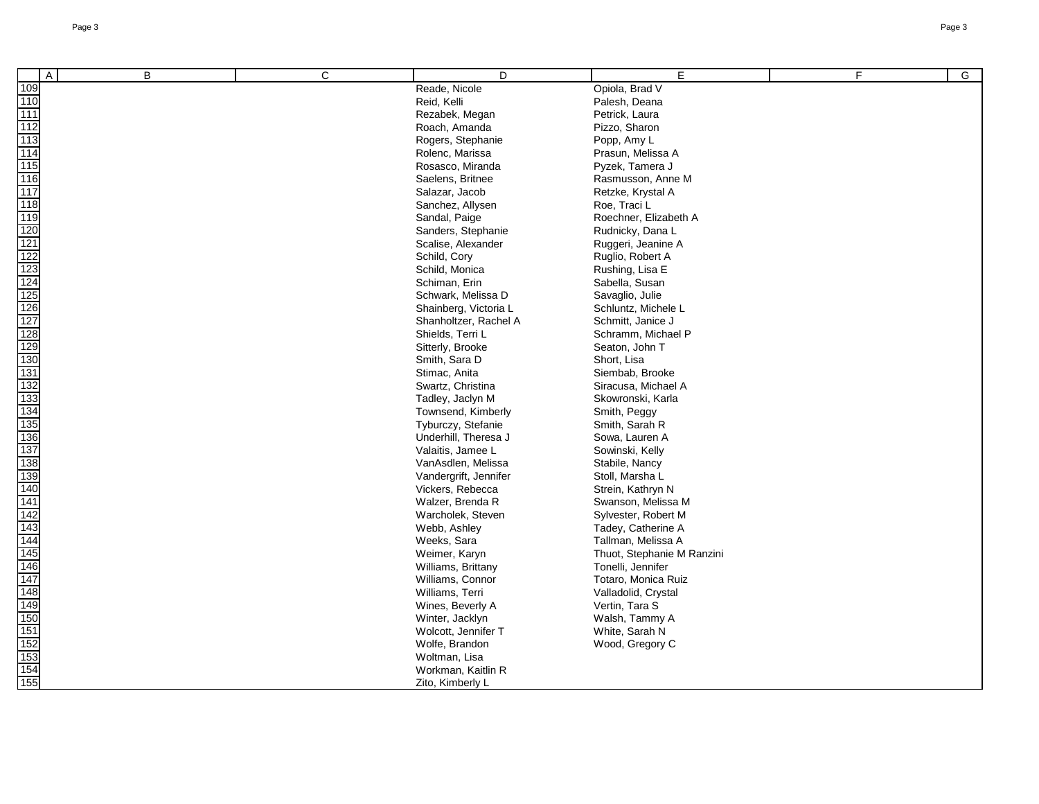| Α   | B | C | D                     | E.                         | F. | G |
|-----|---|---|-----------------------|----------------------------|----|---|
| 109 |   |   | Reade, Nicole         | Opiola, Brad V             |    |   |
|     |   |   | Reid, Kelli           | Palesh, Deana              |    |   |
|     |   |   | Rezabek, Megan        | Petrick, Laura             |    |   |
|     |   |   | Roach, Amanda         | Pizzo, Sharon              |    |   |
|     |   |   | Rogers, Stephanie     | Popp, Amy L                |    |   |
|     |   |   | Rolenc, Marissa       | Prasun, Melissa A          |    |   |
|     |   |   | Rosasco, Miranda      | Pyzek, Tamera J            |    |   |
|     |   |   | Saelens, Britnee      | Rasmusson, Anne M          |    |   |
|     |   |   | Salazar, Jacob        | Retzke, Krystal A          |    |   |
|     |   |   | Sanchez, Allysen      | Roe, Traci L               |    |   |
|     |   |   | Sandal, Paige         | Roechner, Elizabeth A      |    |   |
|     |   |   | Sanders, Stephanie    | Rudnicky, Dana L           |    |   |
|     |   |   | Scalise, Alexander    | Ruggeri, Jeanine A         |    |   |
|     |   |   | Schild, Cory          | Ruglio, Robert A           |    |   |
|     |   |   | Schild, Monica        | Rushing, Lisa E            |    |   |
|     |   |   | Schiman, Erin         | Sabella, Susan             |    |   |
|     |   |   | Schwark, Melissa D    | Savaglio, Julie            |    |   |
|     |   |   | Shainberg, Victoria L | Schluntz, Michele L        |    |   |
|     |   |   | Shanholtzer, Rachel A | Schmitt, Janice J          |    |   |
|     |   |   | Shields, Terri L      | Schramm, Michael P         |    |   |
|     |   |   | Sitterly, Brooke      | Seaton, John T             |    |   |
|     |   |   | Smith, Sara D         | Short, Lisa                |    |   |
|     |   |   | Stimac, Anita         | Siembab, Brooke            |    |   |
|     |   |   | Swartz, Christina     | Siracusa, Michael A        |    |   |
|     |   |   | Tadley, Jaclyn M      | Skowronski, Karla          |    |   |
|     |   |   | Townsend, Kimberly    | Smith, Peggy               |    |   |
|     |   |   | Tyburczy, Stefanie    | Smith, Sarah R             |    |   |
|     |   |   | Underhill, Theresa J  | Sowa, Lauren A             |    |   |
|     |   |   | Valaitis, Jamee L     | Sowinski, Kelly            |    |   |
|     |   |   | VanAsdlen, Melissa    | Stabile, Nancy             |    |   |
|     |   |   | Vandergrift, Jennifer | Stoll, Marsha L            |    |   |
|     |   |   | Vickers, Rebecca      | Strein, Kathryn N          |    |   |
|     |   |   | Walzer, Brenda R      | Swanson, Melissa M         |    |   |
|     |   |   | Warcholek, Steven     | Sylvester, Robert M        |    |   |
|     |   |   | Webb, Ashley          | Tadey, Catherine A         |    |   |
|     |   |   | Weeks, Sara           | Tallman, Melissa A         |    |   |
|     |   |   | Weimer, Karyn         | Thuot, Stephanie M Ranzini |    |   |
|     |   |   | Williams, Brittany    | Tonelli, Jennifer          |    |   |
|     |   |   | Williams, Connor      | Totaro, Monica Ruiz        |    |   |
|     |   |   | Williams, Terri       | Valladolid, Crystal        |    |   |
|     |   |   | Wines, Beverly A      | Vertin, Tara S             |    |   |
|     |   |   | Winter, Jacklyn       | Walsh, Tammy A             |    |   |
|     |   |   | Wolcott, Jennifer T   | White, Sarah N             |    |   |
|     |   |   | Wolfe, Brandon        | Wood, Gregory C            |    |   |
|     |   |   | Woltman, Lisa         |                            |    |   |
|     |   |   | Workman, Kaitlin R    |                            |    |   |
|     |   |   | Zito, Kimberly L      |                            |    |   |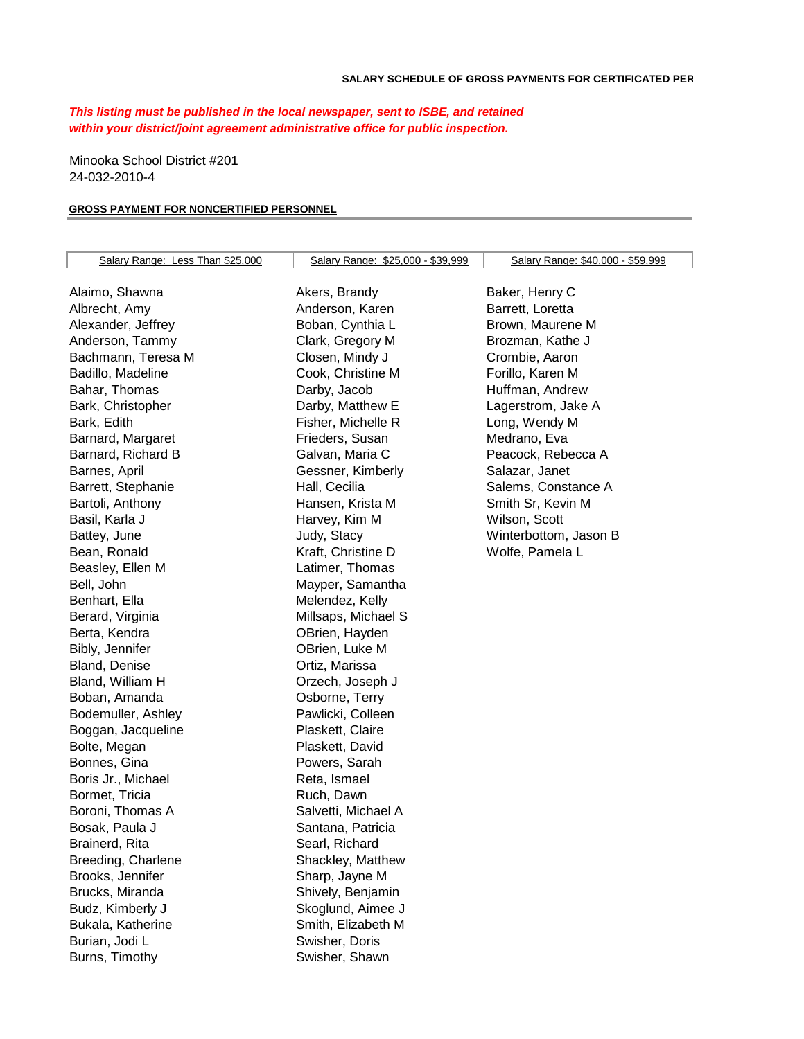## *This listing must be published in the local newspaper, sent to ISBE, and retained within your district/joint agreement administrative office for public inspection.*

Minooka School District #201 24-032-2010-4

## **GROSS PAYMENT FOR NONCERTIFIED PERSONNEL**

| Salary Range: Less Than \$25,000 | Salary Range: \$25,000 - \$39,999 | Salary Range: \$40,000 - \$59,999 |
|----------------------------------|-----------------------------------|-----------------------------------|
|                                  |                                   |                                   |
| Alaimo, Shawna                   | Akers, Brandy                     | Baker, Henry C                    |
| Albrecht, Amy                    | Anderson, Karen                   | Barrett, Loretta                  |
| Alexander, Jeffrey               | Boban, Cynthia L                  | Brown, Maurene M                  |
| Anderson, Tammy                  | Clark, Gregory M                  | Brozman, Kathe J                  |
| Bachmann, Teresa M               | Closen, Mindy J                   | Crombie, Aaron                    |
| Badillo, Madeline                | Cook, Christine M                 | Forillo, Karen M                  |
| Bahar, Thomas                    | Darby, Jacob                      | Huffman, Andrew                   |
| Bark, Christopher                | Darby, Matthew E                  | Lagerstrom, Jake A                |
| Bark, Edith                      | Fisher, Michelle R                | Long, Wendy M                     |
| Barnard, Margaret                | Frieders, Susan                   | Medrano, Eva                      |
| Barnard, Richard B               | Galvan, Maria C                   | Peacock, Rebecca A                |
| Barnes, April                    | Gessner, Kimberly                 | Salazar, Janet                    |
| Barrett, Stephanie               | Hall, Cecilia                     | Salems, Constance A               |
| Bartoli, Anthony                 | Hansen, Krista M                  | Smith Sr, Kevin M                 |
| Basil, Karla J                   | Harvey, Kim M                     | Wilson, Scott                     |
| Battey, June                     | Judy, Stacy                       | Winterbottom, Jason B             |
| Bean, Ronald                     | Kraft, Christine D                | Wolfe, Pamela L                   |
| Beasley, Ellen M                 | Latimer, Thomas                   |                                   |
| Bell, John                       | Mayper, Samantha                  |                                   |
| Benhart, Ella                    | Melendez, Kelly                   |                                   |
| Berard, Virginia                 | Millsaps, Michael S               |                                   |
| Berta, Kendra                    | OBrien, Hayden                    |                                   |
| Bibly, Jennifer                  | OBrien, Luke M                    |                                   |
| Bland, Denise                    | Ortiz, Marissa                    |                                   |
| Bland, William H                 | Orzech, Joseph J                  |                                   |
| Boban, Amanda                    | Osborne, Terry                    |                                   |
| Bodemuller, Ashley               | Pawlicki, Colleen                 |                                   |
| Boggan, Jacqueline               | Plaskett, Claire                  |                                   |
| Bolte, Megan                     | Plaskett, David                   |                                   |
| Bonnes, Gina                     | Powers, Sarah                     |                                   |
| Boris Jr., Michael               | Reta, Ismael                      |                                   |
| Bormet, Tricia                   | Ruch, Dawn                        |                                   |
| Boroni, Thomas A                 | Salvetti, Michael A               |                                   |
| Bosak, Paula J                   | Santana, Patricia                 |                                   |
| Brainerd, Rita                   | Searl, Richard                    |                                   |
| Breeding, Charlene               | Shackley, Matthew                 |                                   |
| Brooks, Jennifer                 | Sharp, Jayne M                    |                                   |
| Brucks, Miranda                  | Shively, Benjamin                 |                                   |
| Budz, Kimberly J                 | Skoglund, Aimee J                 |                                   |
| Bukala, Katherine                | Smith, Elizabeth M                |                                   |
| Burian, Jodi L                   | Swisher, Doris                    |                                   |
| Burns, Timothy                   | Swisher, Shawn                    |                                   |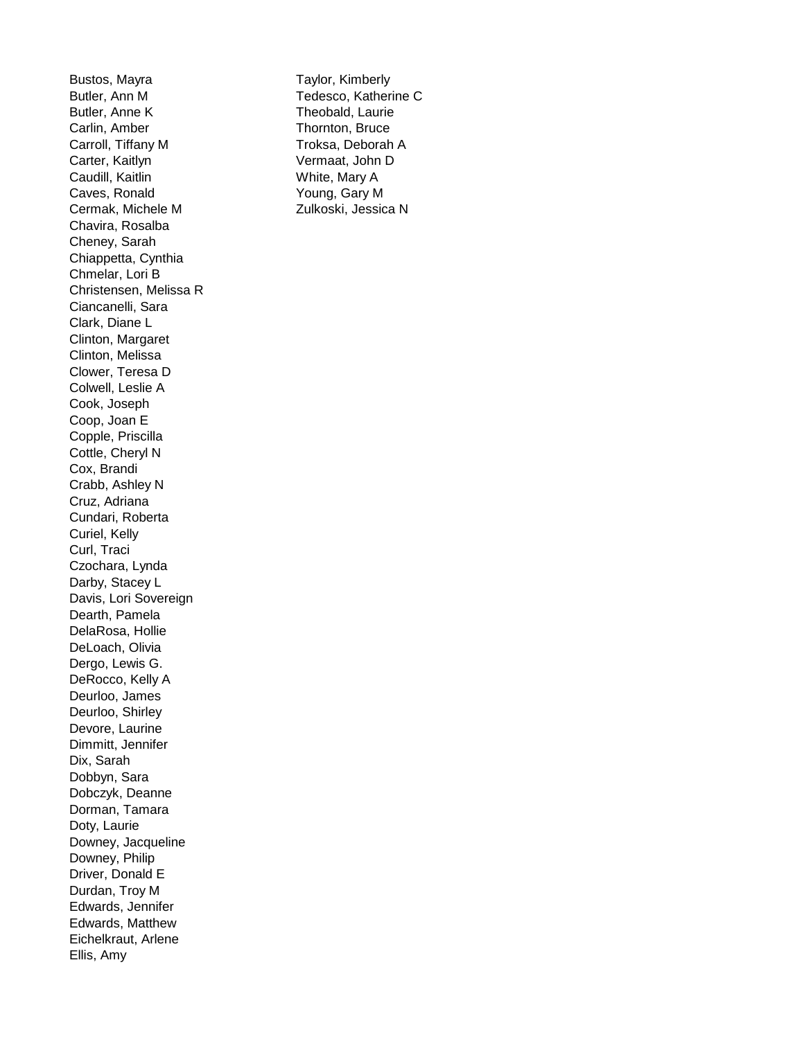Bustos, Mayra **Taylor, Kimberly** Butler, Ann M Tedesco, Katherine C Butler, Anne K Theobald, Laurie Carlin, Amber Thornton, Bruce Carroll, Tiffany M Troksa, Deborah A Carter, Kaitlyn Vermaat, John D Caudill, Kaitlin White, Mary A Caves, Ronald Young, Gary M Cermak, Michele M Zulkoski, Jessica N Chavira, Rosalba Cheney, Sarah Chiappetta, Cynthia Chmelar, Lori B Christensen, Melissa R Ciancanelli, Sara Clark, Diane L Clinton, Margaret Clinton, Melissa Clower, Teresa D Colwell, Leslie A Cook, Joseph Coop, Joan E Copple, Priscilla Cottle, Cheryl N Cox, Brandi Crabb, Ashley N Cruz, Adriana Cundari, Roberta Curiel, Kelly Curl, Traci Czochara, Lynda Darby, Stacey L Davis, Lori Sovereign Dearth, Pamela DelaRosa, Hollie DeLoach, Olivia Dergo, Lewis G. DeRocco, Kelly A Deurloo, James Deurloo, Shirley Devore, Laurine Dimmitt, Jennifer Dix, Sarah Dobbyn, Sara Dobczyk, Deanne Dorman, Tamara Doty, Laurie Downey, Jacqueline Downey, Philip Driver, Donald E Durdan, Troy M Edwards, Jennifer Edwards, Matthew Eichelkraut, Arlene Ellis, Amy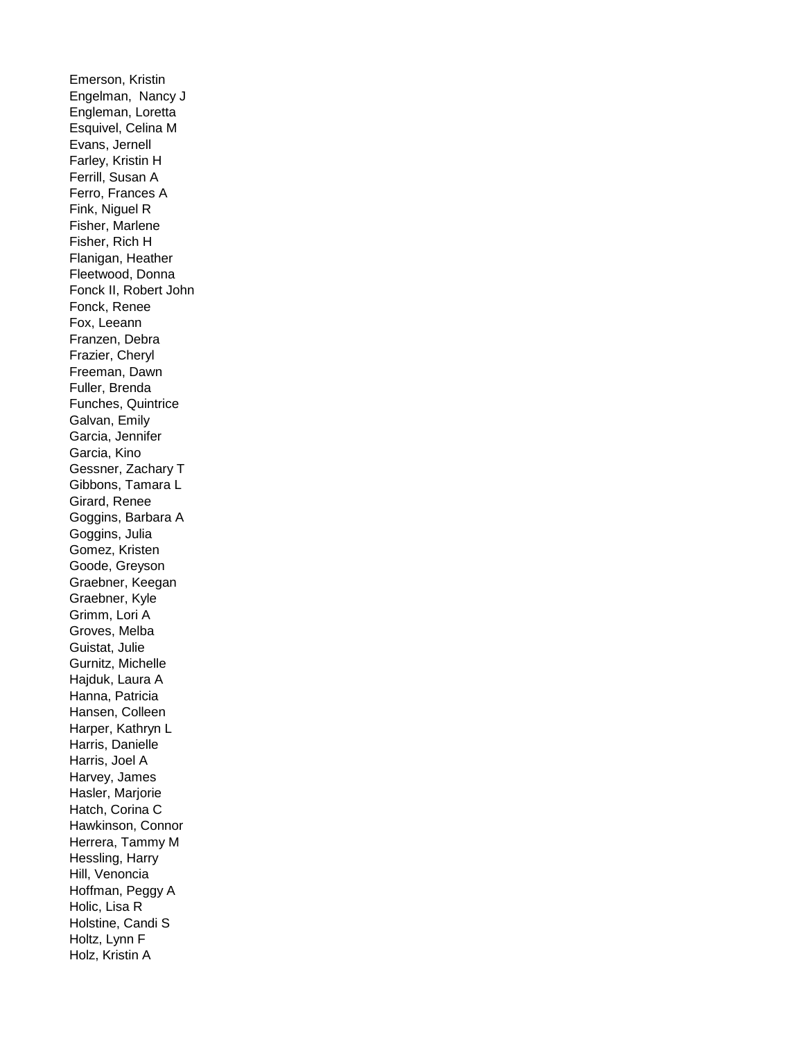Emerson, Kristin Engelman, Nancy J Engleman, Loretta Esquivel, Celina M Evans, Jernell Farley, Kristin H Ferrill, Susan A Ferro, Frances A Fink, Niguel R Fisher, Marlene Fisher, Rich H Flanigan, Heather Fleetwood, Donna Fonck II, Robert John Fonck, Renee Fox, Leeann Franzen, Debra Frazier, Cheryl Freeman, Dawn Fuller, Brenda Funches, Quintrice Galvan, Emily Garcia, Jennifer Garcia, Kino Gessner, Zachary T Gibbons, Tamara L Girard, Renee Goggins, Barbara A Goggins, Julia Gomez, Kristen Goode, Greyson Graebner, Keegan Graebner, Kyle Grimm, Lori A Groves, Melba Guistat, Julie Gurnitz, Michelle Hajduk, Laura A Hanna, Patricia Hansen, Colleen Harper, Kathryn L Harris, Danielle Harris, Joel A Harvey, James Hasler, Marjorie Hatch, Corina C Hawkinson, Connor Herrera, Tammy M Hessling, Harry Hill, Venoncia Hoffman, Peggy A Holic, Lisa R Holstine, Candi S Holtz, Lynn F Holz, Kristin A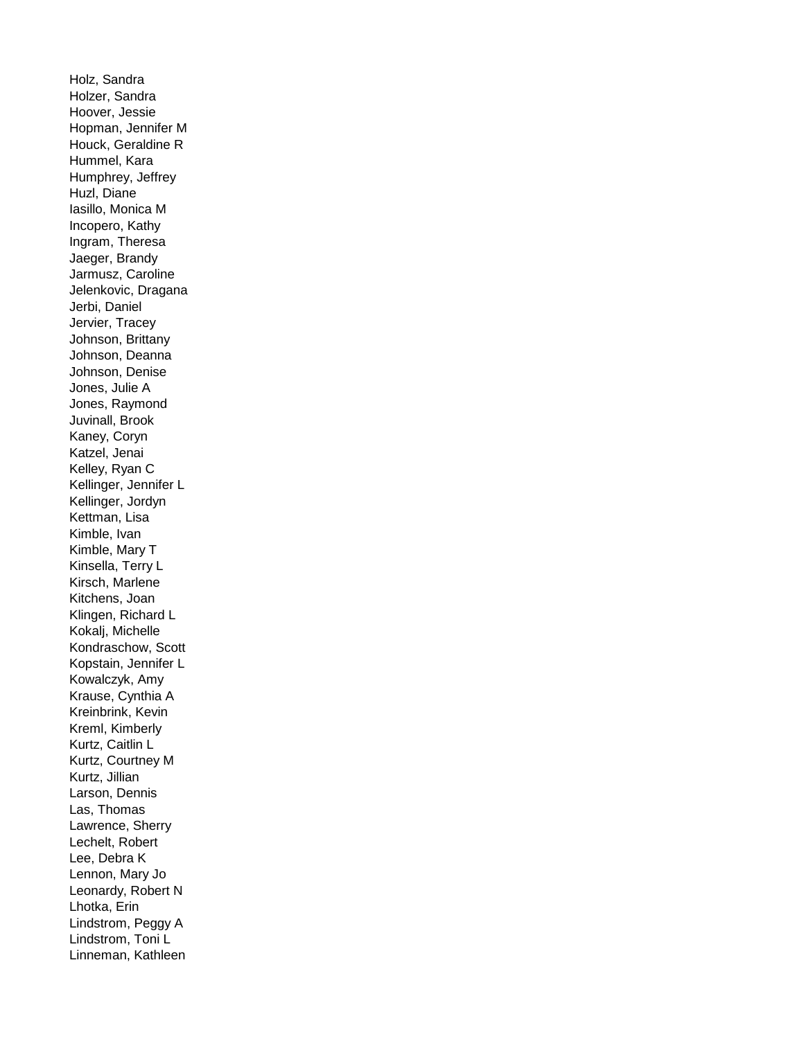Holz, Sandra Holzer, Sandra Hoover, Jessie Hopman, Jennifer M Houck, Geraldine R Hummel, Kara Humphrey, Jeffrey Huzl, Diane Iasillo, Monica M Incopero, Kathy Ingram, Theresa Jaeger, Brandy Jarmusz, Caroline Jelenkovic, Dragana Jerbi, Daniel Jervier, Tracey Johnson, Brittany Johnson, Deanna Johnson, Denise Jones, Julie A Jones, Raymond Juvinall, Brook Kaney, Coryn Katzel, Jenai Kelley, Ryan C Kellinger, Jennifer L Kellinger, Jordyn Kettman, Lisa Kimble, Ivan Kimble, Mary T Kinsella, Terry L Kirsch, Marlene Kitchens, Joan Klingen, Richard L Kokalj, Michelle Kondraschow, Scott Kopstain, Jennifer L Kowalczyk, Amy Krause, Cynthia A Kreinbrink, Kevin Kreml, Kimberly Kurtz, Caitlin L Kurtz, Courtney M Kurtz, Jillian Larson, Dennis Las, Thomas Lawrence, Sherry Lechelt, Robert Lee, Debra K Lennon, Mary Jo Leonardy, Robert N Lhotka, Erin Lindstrom, Peggy A Lindstrom, Toni L Linneman, Kathleen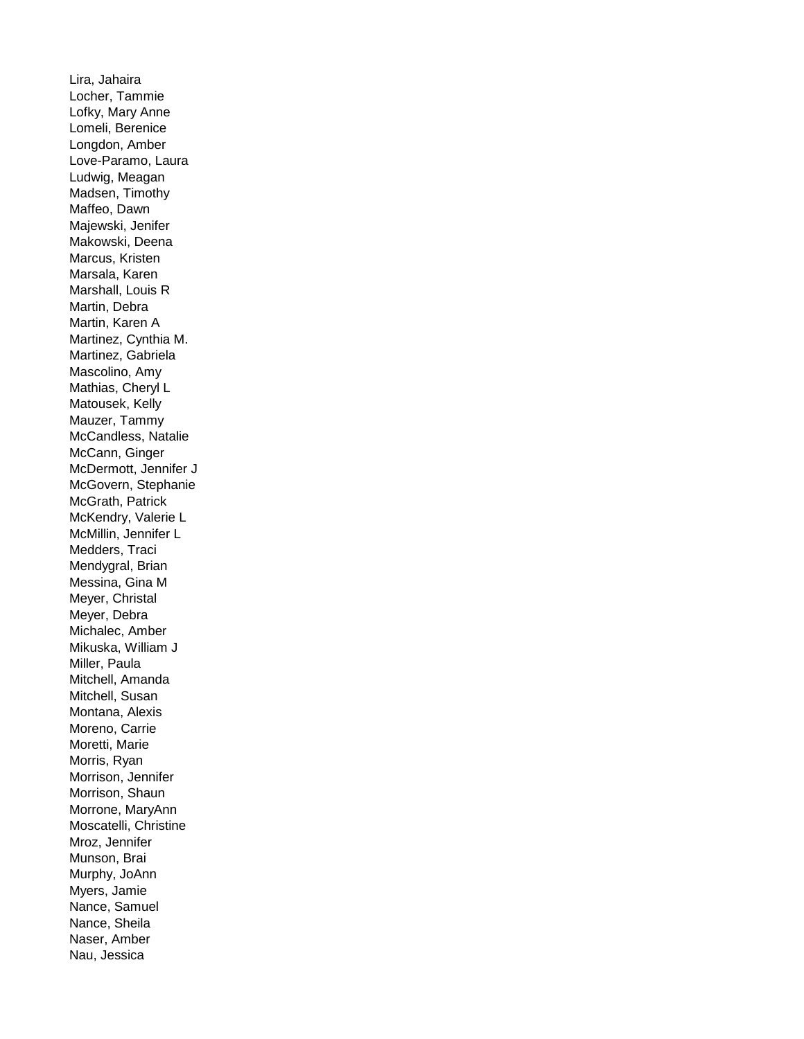Lira, Jahaira Locher, Tammie Lofky, Mary Anne Lomeli, Berenice Longdon, Amber Love-Paramo, Laura Ludwig, Meagan Madsen, Timothy Maffeo, Dawn Majewski, Jenifer Makowski, Deena Marcus, Kristen Marsala, Karen Marshall, Louis R Martin, Debra Martin, Karen A Martinez, Cynthia M. Martinez, Gabriela Mascolino, Amy Mathias, Cheryl L Matousek, Kelly Mauzer, Tammy McCandless, Natalie McCann, Ginger McDermott, Jennifer J McGovern, Stephanie McGrath, Patrick McKendry, Valerie L McMillin, Jennifer L Medders, Traci Mendygral, Brian Messina, Gina M Meyer, Christal Meyer, Debra Michalec, Amber Mikuska, William J Miller, Paula Mitchell, Amanda Mitchell, Susan Montana, Alexis Moreno, Carrie Moretti, Marie Morris, Ryan Morrison, Jennifer Morrison, Shaun Morrone, MaryAnn Moscatelli, Christine Mroz, Jennifer Munson, Brai Murphy, JoAnn Myers, Jamie Nance, Samuel Nance, Sheila Naser, Amber Nau, Jessica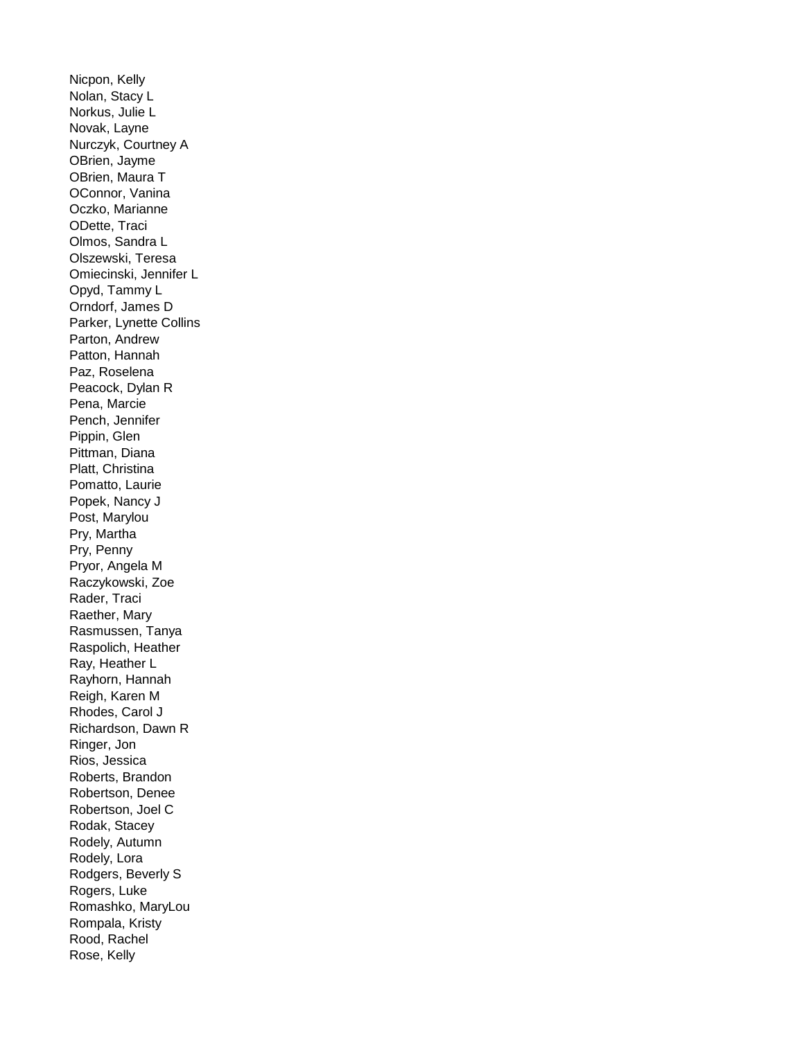Nicpon, Kelly Nolan, Stacy L Norkus, Julie L Novak, Layne Nurczyk, Courtney A OBrien, Jayme OBrien, Maura T OConnor, Vanina Oczko, Marianne ODette, Traci Olmos, Sandra L Olszewski, Teresa Omiecinski, Jennifer L Opyd, Tammy L Orndorf, James D Parker, Lynette Collins Parton, Andrew Patton, Hannah Paz, Roselena Peacock, Dylan R Pena, Marcie Pench, Jennifer Pippin, Glen Pittman, Diana Platt, Christina Pomatto, Laurie Popek, Nancy J Post, Marylou Pry, Martha Pry, Penny Pryor, Angela M Raczykowski, Zoe Rader, Traci Raether, Mary Rasmussen, Tanya Raspolich, Heather Ray, Heather L Rayhorn, Hannah Reigh, Karen M Rhodes, Carol J Richardson, Dawn R Ringer, Jon Rios, Jessica Roberts, Brandon Robertson, Denee Robertson, Joel C Rodak, Stacey Rodely, Autumn Rodely, Lora Rodgers, Beverly S Rogers, Luke Romashko, MaryLou Rompala, Kristy Rood, Rachel Rose, Kelly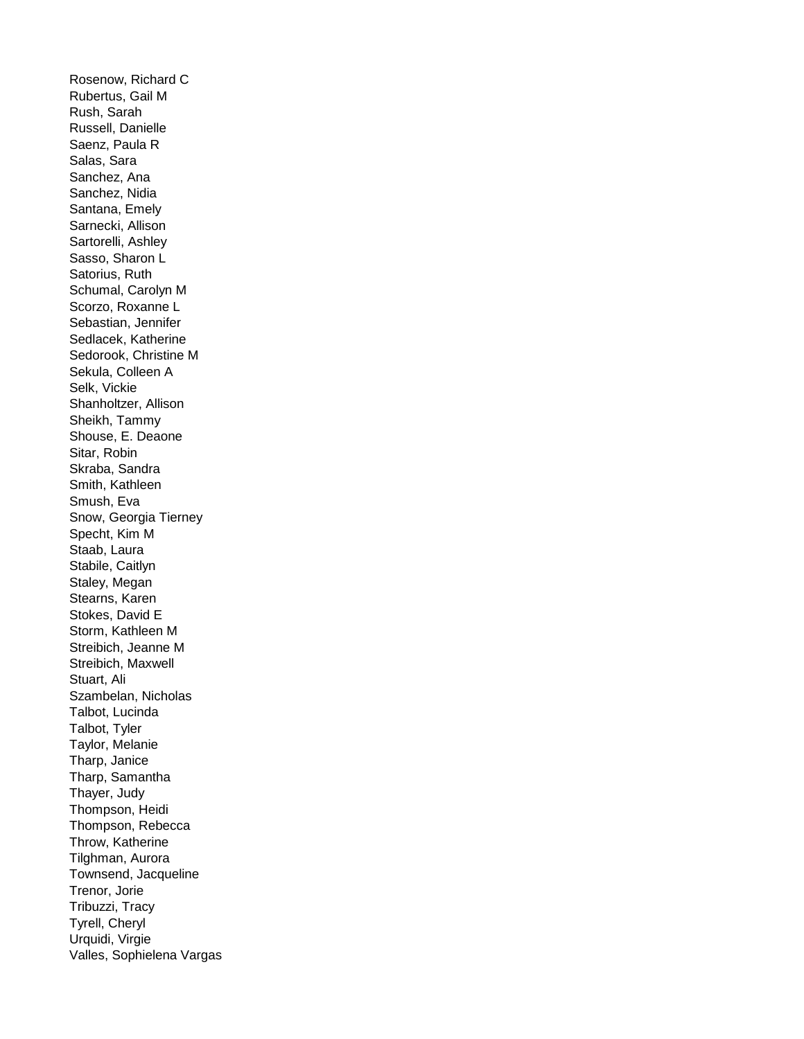Rosenow, Richard C Rubertus, Gail M Rush, Sarah Russell, Danielle Saenz, Paula R Salas, Sara Sanchez, Ana Sanchez, Nidia Santana, Emely Sarnecki, Allison Sartorelli, Ashley Sasso, Sharon L Satorius, Ruth Schumal, Carolyn M Scorzo, Roxanne L Sebastian, Jennifer Sedlacek, Katherine Sedorook, Christine M Sekula, Colleen A Selk, Vickie Shanholtzer, Allison Sheikh, Tammy Shouse, E. Deaone Sitar, Robin Skraba, Sandra Smith, Kathleen Smush, Eva Snow, Georgia Tierney Specht, Kim M Staab, Laura Stabile, Caitlyn Staley, Megan Stearns, Karen Stokes, David E Storm, Kathleen M Streibich, Jeanne M Streibich, Maxwell Stuart, Ali Szambelan, Nicholas Talbot, Lucinda Talbot, Tyler Taylor, Melanie Tharp, Janice Tharp, Samantha Thayer, Judy Thompson, Heidi Thompson, Rebecca Throw, Katherine Tilghman, Aurora Townsend, Jacqueline Trenor, Jorie Tribuzzi, Tracy Tyrell, Cheryl Urquidi, Virgie Valles, Sophielena Vargas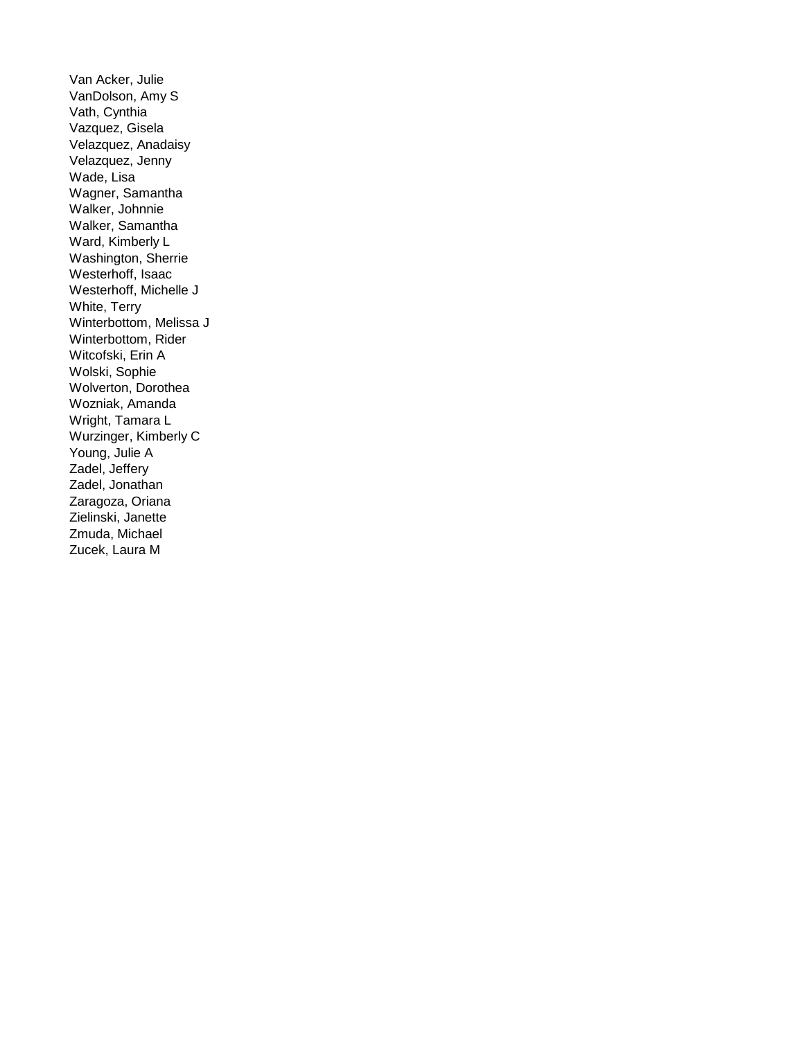Van Acker, Julie VanDolson, Amy S Vath, Cynthia Vazquez, Gisela Velazquez, Anadaisy Velazquez, Jenny Wade, Lisa Wagner, Samantha Walker, Johnnie Walker, Samantha Ward, Kimberly L Washington, Sherrie Westerhoff, Isaac Westerhoff, Michelle J White, Terry Winterbottom, Melissa J Winterbottom, Rider Witcofski, Erin A Wolski, Sophie Wolverton, Dorothea Wozniak, Amanda Wright, Tamara L Wurzinger, Kimberly C Young, Julie A Zadel, Jeffery Zadel, Jonathan Zaragoza, Oriana Zielinski, Janette Zmuda, Michael Zucek, Laura M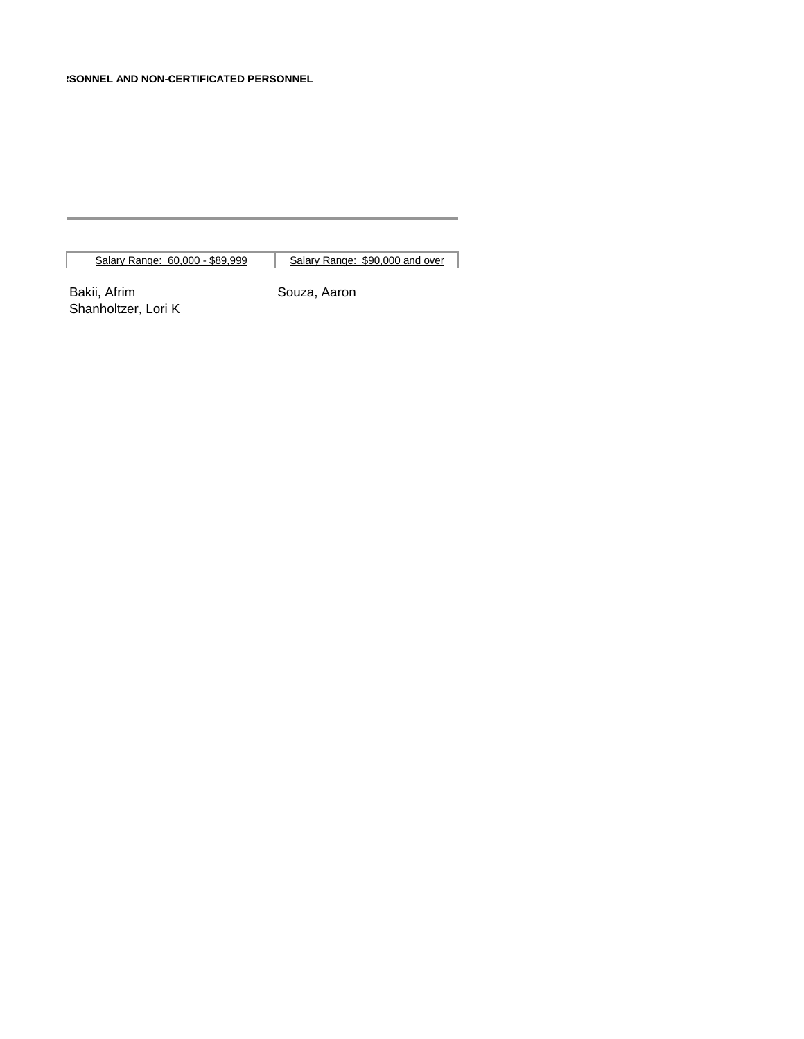Salary Range: 60,000 - \$89,999 | Salary Range: \$90,000 and over

Bakii, Afrim Souza, Aaron Shanholtzer, Lori K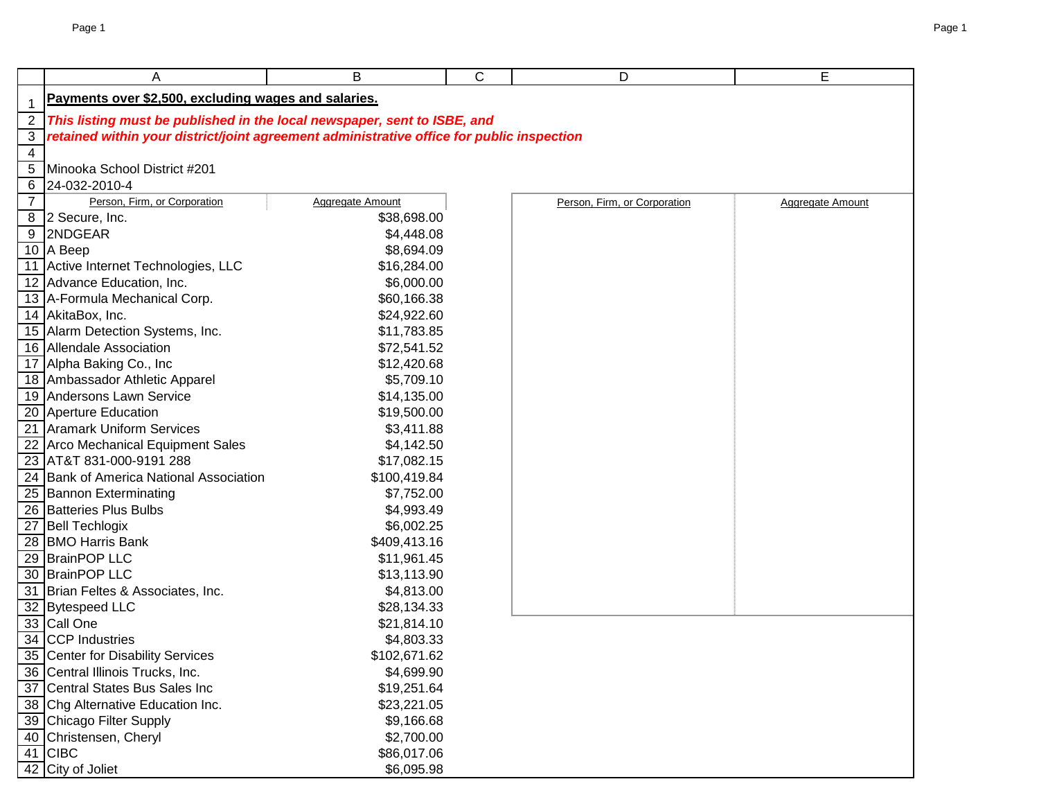|                | Α                                                                                         | B                         | С | D                            | E                |
|----------------|-------------------------------------------------------------------------------------------|---------------------------|---|------------------------------|------------------|
| $\mathbf 1$    | Payments over \$2,500, excluding wages and salaries.                                      |                           |   |                              |                  |
| 2              | This listing must be published in the local newspaper, sent to ISBE, and                  |                           |   |                              |                  |
| 3              | retained within your district/joint agreement administrative office for public inspection |                           |   |                              |                  |
| $\overline{4}$ |                                                                                           |                           |   |                              |                  |
| 5              | Minooka School District #201                                                              |                           |   |                              |                  |
| 6              | 24-032-2010-4                                                                             |                           |   |                              |                  |
| $\overline{7}$ | Person, Firm, or Corporation                                                              | <b>Aggregate Amount</b>   |   | Person, Firm, or Corporation | Aggregate Amount |
|                | 8 2 Secure, Inc.                                                                          | \$38,698.00               |   |                              |                  |
|                | 9 2NDGEAR                                                                                 | \$4,448.08                |   |                              |                  |
|                | 10 $A$ Beep                                                                               | \$8,694.09                |   |                              |                  |
|                | 11 Active Internet Technologies, LLC                                                      | \$16,284.00               |   |                              |                  |
|                | 12 Advance Education, Inc.                                                                | \$6,000.00                |   |                              |                  |
|                | 13 A-Formula Mechanical Corp.                                                             | \$60,166.38               |   |                              |                  |
|                | 14 AkitaBox, Inc.                                                                         | \$24,922.60               |   |                              |                  |
|                | 15 Alarm Detection Systems, Inc.                                                          | \$11,783.85               |   |                              |                  |
|                | 16 Allendale Association                                                                  | \$72,541.52               |   |                              |                  |
|                | 17 Alpha Baking Co., Inc                                                                  | \$12,420.68               |   |                              |                  |
|                | 18 Ambassador Athletic Apparel                                                            | \$5,709.10                |   |                              |                  |
|                | 19 Andersons Lawn Service                                                                 | \$14,135.00               |   |                              |                  |
|                | 20 Aperture Education                                                                     | \$19,500.00               |   |                              |                  |
|                | 21 Aramark Uniform Services                                                               | \$3,411.88                |   |                              |                  |
|                | 22 Arco Mechanical Equipment Sales                                                        | \$4,142.50                |   |                              |                  |
|                | 23 AT&T 831-000-9191 288                                                                  | \$17,082.15               |   |                              |                  |
|                | 24 Bank of America National Association                                                   | \$100,419.84              |   |                              |                  |
|                | 25 Bannon Exterminating                                                                   | \$7,752.00                |   |                              |                  |
|                | 26 Batteries Plus Bulbs                                                                   | \$4,993.49                |   |                              |                  |
|                | 27 Bell Techlogix                                                                         | \$6,002.25                |   |                              |                  |
|                | 28 BMO Harris Bank                                                                        | \$409,413.16              |   |                              |                  |
|                | 29 BrainPOP LLC                                                                           | \$11,961.45               |   |                              |                  |
|                | 30 BrainPOP LLC                                                                           | \$13,113.90               |   |                              |                  |
|                | 31 Brian Feltes & Associates, Inc.                                                        | \$4,813.00                |   |                              |                  |
|                | 32 Bytespeed LLC                                                                          | \$28,134.33               |   |                              |                  |
|                | 33 Call One                                                                               | \$21,814.10               |   |                              |                  |
|                | 34 CCP Industries                                                                         | \$4,803.33                |   |                              |                  |
|                | 35 Center for Disability Services                                                         | \$102,671.62              |   |                              |                  |
|                | 36 Central Illinois Trucks, Inc.<br>37 Central States Bus Sales Inc                       | \$4,699.90                |   |                              |                  |
|                | 38 Chg Alternative Education Inc.                                                         | \$19,251.64               |   |                              |                  |
|                | 39 Chicago Filter Supply                                                                  | \$23,221.05<br>\$9,166.68 |   |                              |                  |
|                | 40 Christensen, Cheryl                                                                    | \$2,700.00                |   |                              |                  |
|                | 41 CIBC                                                                                   | \$86,017.06               |   |                              |                  |
|                | 42 City of Joliet                                                                         | \$6,095.98                |   |                              |                  |
|                |                                                                                           |                           |   |                              |                  |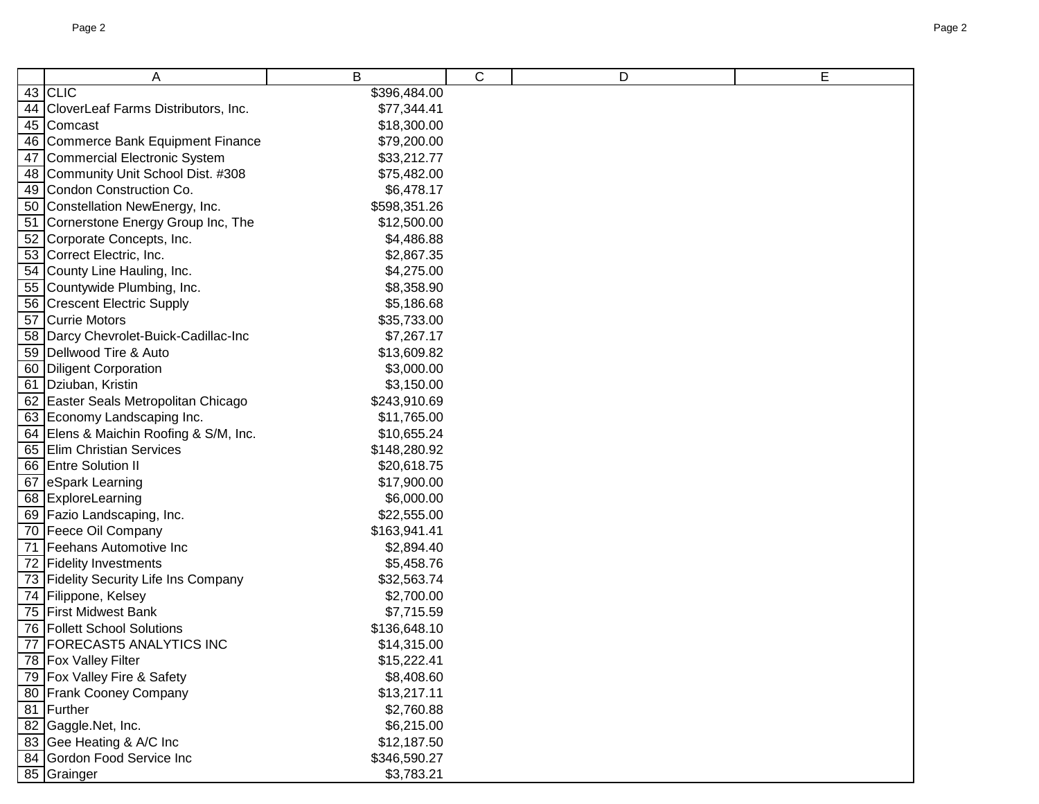| A                                      | B            | С | D | E |
|----------------------------------------|--------------|---|---|---|
| $43$ CLIC                              | \$396,484.00 |   |   |   |
| 44 CloverLeaf Farms Distributors, Inc. | \$77,344.41  |   |   |   |
| 45 Comcast                             | \$18,300.00  |   |   |   |
| 46 Commerce Bank Equipment Finance     | \$79,200.00  |   |   |   |
| 47 Commercial Electronic System        | \$33,212.77  |   |   |   |
| 48 Community Unit School Dist. #308    | \$75,482.00  |   |   |   |
| 49 Condon Construction Co.             | \$6,478.17   |   |   |   |
| 50 Constellation NewEnergy, Inc.       | \$598,351.26 |   |   |   |
| 51 Cornerstone Energy Group Inc, The   | \$12,500.00  |   |   |   |
| 52 Corporate Concepts, Inc.            | \$4,486.88   |   |   |   |
| 53 Correct Electric, Inc.              | \$2,867.35   |   |   |   |
| 54 County Line Hauling, Inc.           | \$4,275.00   |   |   |   |
| 55 Countywide Plumbing, Inc.           | \$8,358.90   |   |   |   |
| 56 Crescent Electric Supply            | \$5,186.68   |   |   |   |
| 57 Currie Motors                       | \$35,733.00  |   |   |   |
| 58 Darcy Chevrolet-Buick-Cadillac-Inc  | \$7,267.17   |   |   |   |
| 59 Dellwood Tire & Auto                | \$13,609.82  |   |   |   |
| 60 Diligent Corporation                | \$3,000.00   |   |   |   |
| 61 Dziuban, Kristin                    | \$3,150.00   |   |   |   |
| 62 Easter Seals Metropolitan Chicago   | \$243,910.69 |   |   |   |
| 63 Economy Landscaping Inc.            | \$11,765.00  |   |   |   |
| 64 Elens & Maichin Roofing & S/M, Inc. | \$10,655.24  |   |   |   |
| 65 Elim Christian Services             | \$148,280.92 |   |   |   |
| 66 Entre Solution II                   | \$20,618.75  |   |   |   |
| 67 eSpark Learning                     | \$17,900.00  |   |   |   |
| 68 ExploreLearning                     | \$6,000.00   |   |   |   |
| 69 Fazio Landscaping, Inc.             | \$22,555.00  |   |   |   |
| 70 Feece Oil Company                   | \$163,941.41 |   |   |   |
| 71 Feehans Automotive Inc              | \$2,894.40   |   |   |   |
| 72 Fidelity Investments                | \$5,458.76   |   |   |   |
| 73 Fidelity Security Life Ins Company  | \$32,563.74  |   |   |   |
| 74 Filippone, Kelsey                   | \$2,700.00   |   |   |   |
| 75 First Midwest Bank                  | \$7,715.59   |   |   |   |
| 76 Follett School Solutions            | \$136,648.10 |   |   |   |
| 77 FORECAST5 ANALYTICS INC             | \$14,315.00  |   |   |   |
| 78 Fox Valley Filter                   | \$15,222.41  |   |   |   |
| 79   Fox Valley Fire & Safety          | \$8,408.60   |   |   |   |
| 80 Frank Cooney Company                | \$13,217.11  |   |   |   |
| 81 Further                             | \$2,760.88   |   |   |   |
| 82 Gaggle.Net, Inc.                    | \$6,215.00   |   |   |   |
| 83 Gee Heating & A/C Inc               | \$12,187.50  |   |   |   |
| 84 Gordon Food Service Inc             | \$346,590.27 |   |   |   |
| 85 Grainger                            | \$3,783.21   |   |   |   |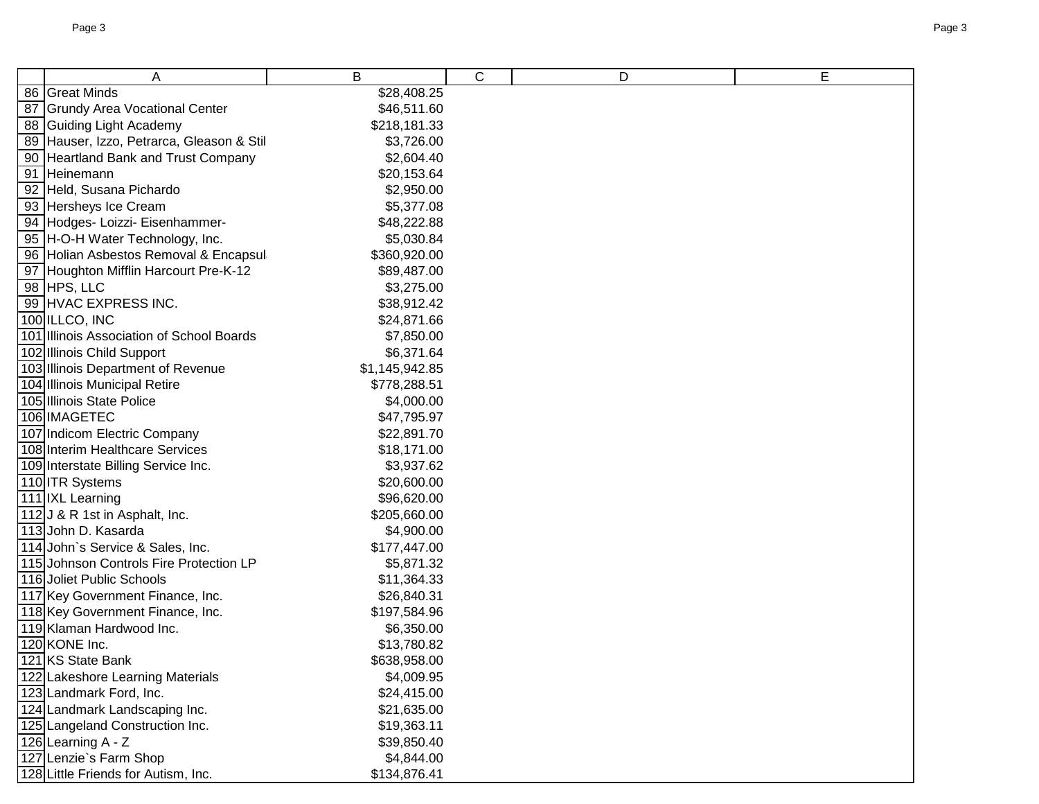| Α                                         | В              | C | D | E |
|-------------------------------------------|----------------|---|---|---|
| 86 Great Minds                            | \$28,408.25    |   |   |   |
| 87 Grundy Area Vocational Center          | \$46,511.60    |   |   |   |
| 88 Guiding Light Academy                  | \$218,181.33   |   |   |   |
| 89 Hauser, Izzo, Petrarca, Gleason & Stil | \$3,726.00     |   |   |   |
| 90 Heartland Bank and Trust Company       | \$2,604.40     |   |   |   |
| 91 Heinemann                              | \$20,153.64    |   |   |   |
| 92 Held, Susana Pichardo                  | \$2,950.00     |   |   |   |
| 93 Hersheys Ice Cream                     | \$5,377.08     |   |   |   |
| 94 Hodges- Loizzi- Eisenhammer-           | \$48,222.88    |   |   |   |
| 95 H-O-H Water Technology, Inc.           | \$5,030.84     |   |   |   |
| 96 Holian Asbestos Removal & Encapsul     | \$360,920.00   |   |   |   |
| 97 Houghton Mifflin Harcourt Pre-K-12     | \$89,487.00    |   |   |   |
| 98 HPS, LLC                               | \$3,275.00     |   |   |   |
| 99 HVAC EXPRESS INC.                      | \$38,912.42    |   |   |   |
| 100 ILLCO, INC                            | \$24,871.66    |   |   |   |
| 101 Illinois Association of School Boards | \$7,850.00     |   |   |   |
| 102 Illinois Child Support                | \$6,371.64     |   |   |   |
| 103 Illinois Department of Revenue        | \$1,145,942.85 |   |   |   |
| 104 Illinois Municipal Retire             | \$778,288.51   |   |   |   |
| 105 Illinois State Police                 | \$4,000.00     |   |   |   |
| 106 IMAGETEC                              | \$47,795.97    |   |   |   |
| 107 Indicom Electric Company              | \$22,891.70    |   |   |   |
| 108 Interim Healthcare Services           | \$18,171.00    |   |   |   |
| 109 Interstate Billing Service Inc.       | \$3,937.62     |   |   |   |
| 110 ITR Systems                           | \$20,600.00    |   |   |   |
| 111 IXL Learning                          | \$96,620.00    |   |   |   |
| 112J & R 1st in Asphalt, Inc.             | \$205,660.00   |   |   |   |
| 113 John D. Kasarda                       | \$4,900.00     |   |   |   |
| 114 John's Service & Sales, Inc.          | \$177,447.00   |   |   |   |
| 115 Johnson Controls Fire Protection LP   | \$5,871.32     |   |   |   |
| 116 Joliet Public Schools                 | \$11,364.33    |   |   |   |
| 117 Key Government Finance, Inc.          | \$26,840.31    |   |   |   |
| 118 Key Government Finance, Inc.          | \$197,584.96   |   |   |   |
| 119 Klaman Hardwood Inc.                  | \$6,350.00     |   |   |   |
| 120 KONE Inc.                             | \$13,780.82    |   |   |   |
| 121 KS State Bank                         | \$638,958.00   |   |   |   |
| 122 Lakeshore Learning Materials          | \$4,009.95     |   |   |   |
| 123 Landmark Ford, Inc.                   | \$24,415.00    |   |   |   |
| 124 Landmark Landscaping Inc.             | \$21,635.00    |   |   |   |
| 125 Langeland Construction Inc.           | \$19,363.11    |   |   |   |
| 126 Learning A - Z                        | \$39,850.40    |   |   |   |
| 127 Lenzie's Farm Shop                    | \$4,844.00     |   |   |   |
| 128 Little Friends for Autism, Inc.       | \$134,876.41   |   |   |   |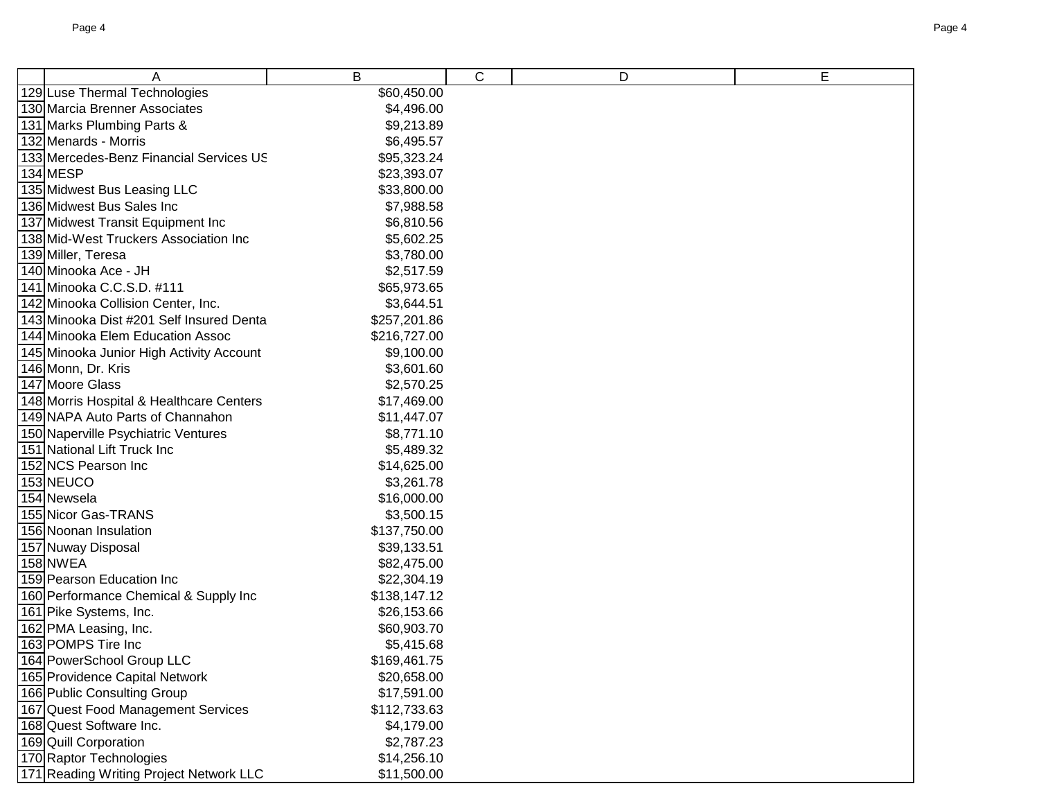| A                                                             | B                          | $\mathsf C$ | D | E |
|---------------------------------------------------------------|----------------------------|-------------|---|---|
| 129 Luse Thermal Technologies                                 | \$60,450.00                |             |   |   |
| 130 Marcia Brenner Associates                                 | \$4,496.00                 |             |   |   |
| 131 Marks Plumbing Parts &                                    | \$9,213.89                 |             |   |   |
| 132 Menards - Morris                                          | \$6,495.57                 |             |   |   |
| 133 Mercedes-Benz Financial Services US                       | \$95,323.24                |             |   |   |
| 134 MESP                                                      | \$23,393.07                |             |   |   |
| 135 Midwest Bus Leasing LLC                                   | \$33,800.00                |             |   |   |
| 136 Midwest Bus Sales Inc                                     | \$7,988.58                 |             |   |   |
| 137 Midwest Transit Equipment Inc                             | \$6,810.56                 |             |   |   |
| 138 Mid-West Truckers Association Inc                         | \$5,602.25                 |             |   |   |
| 139 Miller, Teresa                                            | \$3,780.00                 |             |   |   |
| 140 Minooka Ace - JH                                          | \$2,517.59                 |             |   |   |
| 141 Minooka C.C.S.D. #111                                     | \$65,973.65                |             |   |   |
| 142 Minooka Collision Center, Inc.                            | \$3,644.51                 |             |   |   |
| 143 Minooka Dist #201 Self Insured Denta                      | \$257,201.86               |             |   |   |
| 144 Minooka Elem Education Assoc                              | \$216,727.00               |             |   |   |
| 145 Minooka Junior High Activity Account                      | \$9,100.00                 |             |   |   |
| 146 Monn, Dr. Kris                                            | \$3,601.60                 |             |   |   |
| 147 Moore Glass                                               | \$2,570.25                 |             |   |   |
| 148 Morris Hospital & Healthcare Centers                      | \$17,469.00                |             |   |   |
| 149 NAPA Auto Parts of Channahon                              | \$11,447.07                |             |   |   |
| 150 Naperville Psychiatric Ventures                           | \$8,771.10                 |             |   |   |
| 151 National Lift Truck Inc                                   | \$5,489.32                 |             |   |   |
| 152 NCS Pearson Inc                                           | \$14,625.00                |             |   |   |
| 153 NEUCO                                                     | \$3,261.78                 |             |   |   |
| 154 Newsela                                                   | \$16,000.00                |             |   |   |
| 155 Nicor Gas-TRANS                                           | \$3,500.15                 |             |   |   |
| 156 Noonan Insulation                                         | \$137,750.00               |             |   |   |
| 157 Nuway Disposal                                            | \$39,133.51                |             |   |   |
| 158 NWEA                                                      | \$82,475.00                |             |   |   |
| 159 Pearson Education Inc                                     | \$22,304.19                |             |   |   |
| 160 Performance Chemical & Supply Inc                         | \$138,147.12               |             |   |   |
| 161 Pike Systems, Inc.                                        | \$26,153.66                |             |   |   |
| 162 PMA Leasing, Inc.                                         | \$60,903.70                |             |   |   |
| 163 POMPS Tire Inc                                            | \$5,415.68                 |             |   |   |
| 164 PowerSchool Group LLC                                     | \$169,461.75               |             |   |   |
| 165 Providence Capital Network<br>166 Public Consulting Group | \$20,658.00                |             |   |   |
| 167 Quest Food Management Services                            | \$17,591.00                |             |   |   |
| 168 Quest Software Inc.                                       | \$112,733.63<br>\$4,179.00 |             |   |   |
| 169 Quill Corporation                                         | \$2,787.23                 |             |   |   |
| 170 Raptor Technologies                                       | \$14,256.10                |             |   |   |
| 171 Reading Writing Project Network LLC                       | \$11,500.00                |             |   |   |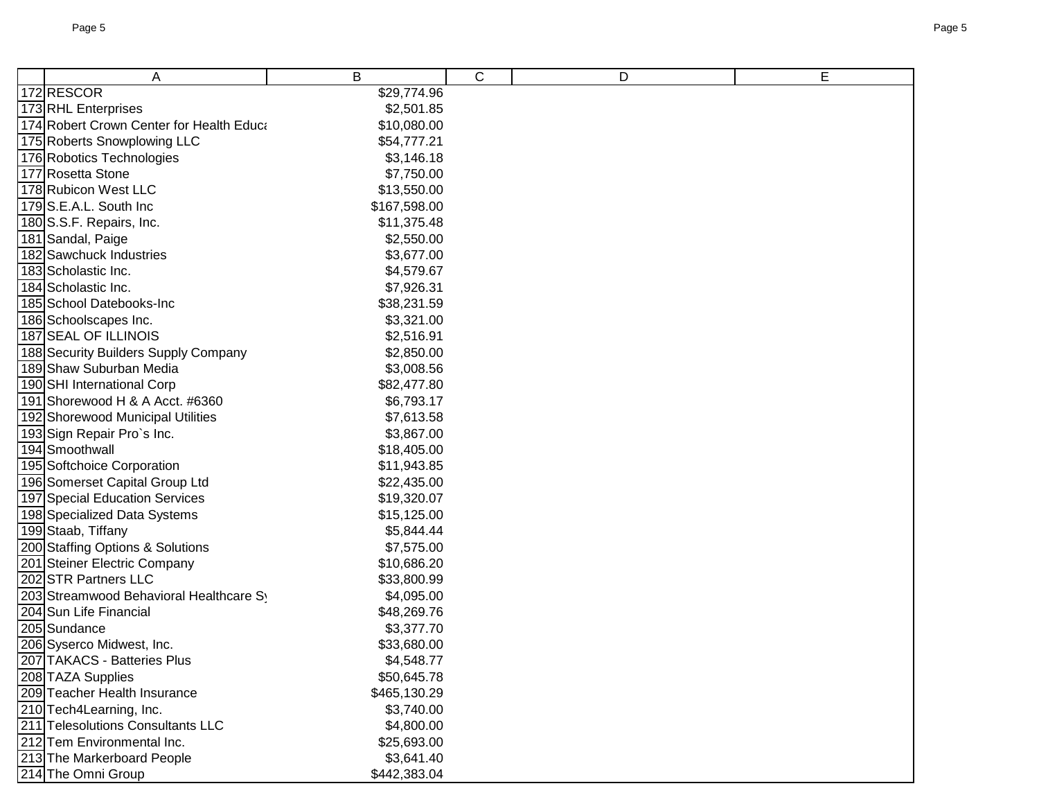| A                                                 | B                          | C | D | E |
|---------------------------------------------------|----------------------------|---|---|---|
| 172RESCOR                                         | \$29,774.96                |   |   |   |
| 173 RHL Enterprises                               | \$2,501.85                 |   |   |   |
| 174 Robert Crown Center for Health Educa          | \$10,080.00                |   |   |   |
| 175 Roberts Snowplowing LLC                       | \$54,777.21                |   |   |   |
| 176 Robotics Technologies                         | \$3,146.18                 |   |   |   |
| 177 Rosetta Stone                                 | \$7,750.00                 |   |   |   |
| 178 Rubicon West LLC                              | \$13,550.00                |   |   |   |
| 179 S.E.A.L. South Inc                            | \$167,598.00               |   |   |   |
| 180 S.S.F. Repairs, Inc.                          | \$11,375.48                |   |   |   |
| 181 Sandal, Paige                                 | \$2,550.00                 |   |   |   |
| 182 Sawchuck Industries                           | \$3,677.00                 |   |   |   |
| 183 Scholastic Inc.                               | \$4,579.67                 |   |   |   |
| 184 Scholastic Inc.                               | \$7,926.31                 |   |   |   |
| 185 School Datebooks-Inc                          | \$38,231.59                |   |   |   |
| 186 Schoolscapes Inc.                             | \$3,321.00                 |   |   |   |
| 187 SEAL OF ILLINOIS                              | \$2,516.91                 |   |   |   |
| 188 Security Builders Supply Company              | \$2,850.00                 |   |   |   |
| 189 Shaw Suburban Media                           | \$3,008.56                 |   |   |   |
| 190 SHI International Corp                        | \$82,477.80                |   |   |   |
| 191 Shorewood H & A Acct. #6360                   | \$6,793.17                 |   |   |   |
| 192 Shorewood Municipal Utilities                 | \$7,613.58                 |   |   |   |
| 193 Sign Repair Pro`s Inc.                        | \$3,867.00                 |   |   |   |
| 194 Smoothwall                                    | \$18,405.00                |   |   |   |
| 195 Softchoice Corporation                        | \$11,943.85                |   |   |   |
| 196 Somerset Capital Group Ltd                    | \$22,435.00                |   |   |   |
| 197 Special Education Services                    | \$19,320.07                |   |   |   |
| 198 Specialized Data Systems                      | \$15,125.00                |   |   |   |
| 199 Staab, Tiffany                                | \$5,844.44                 |   |   |   |
| 200 Staffing Options & Solutions                  | \$7,575.00                 |   |   |   |
| 201 Steiner Electric Company                      | \$10,686.20                |   |   |   |
| 202 STR Partners LLC                              | \$33,800.99                |   |   |   |
| 203 Streamwood Behavioral Healthcare Sy           | \$4,095.00                 |   |   |   |
| 204 Sun Life Financial                            | \$48,269.76                |   |   |   |
| 205 Sundance                                      | \$3,377.70                 |   |   |   |
| 206 Syserco Midwest, Inc.                         | \$33,680.00                |   |   |   |
| 207 TAKACS - Batteries Plus                       | \$4,548.77                 |   |   |   |
| 208 TAZA Supplies<br>209 Teacher Health Insurance | \$50,645.78                |   |   |   |
| 210 Tech4Learning, Inc.                           | \$465,130.29<br>\$3,740.00 |   |   |   |
| 211 Telesolutions Consultants LLC                 | \$4,800.00                 |   |   |   |
| 212 Tem Environmental Inc.                        | \$25,693.00                |   |   |   |
| 213 The Markerboard People                        | \$3,641.40                 |   |   |   |
| 214 The Omni Group                                | \$442,383.04               |   |   |   |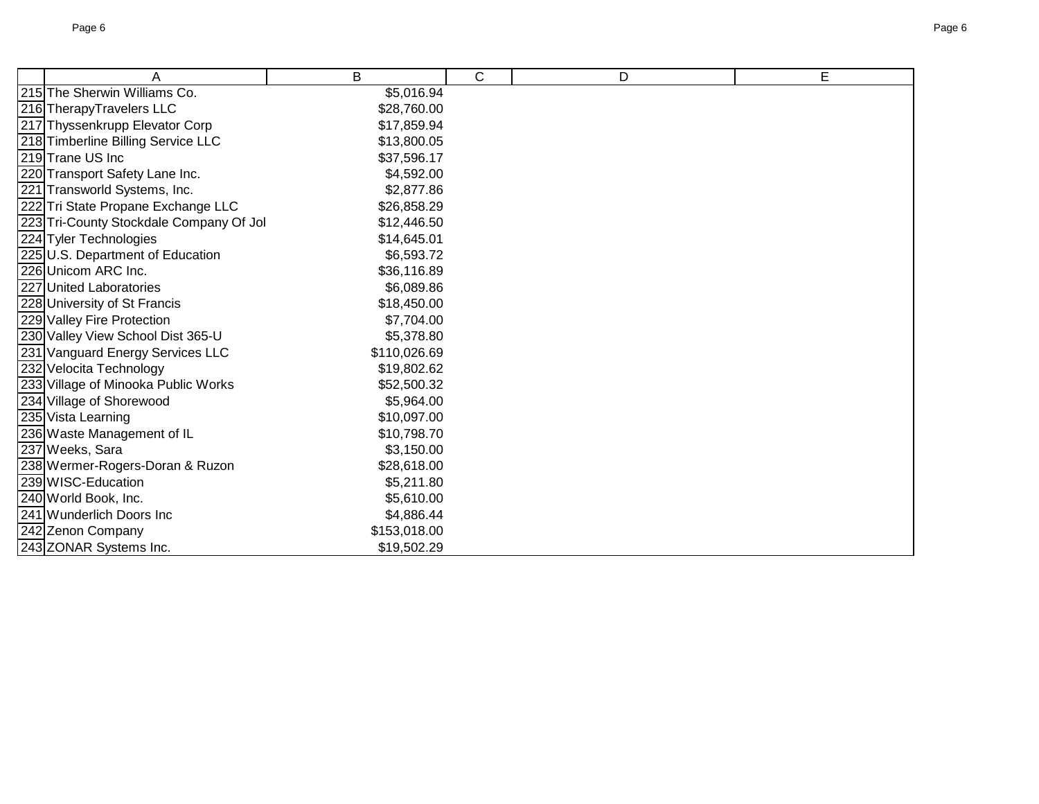| A                                       | B            | $\mathsf{C}$ | D | E |
|-----------------------------------------|--------------|--------------|---|---|
| 215 The Sherwin Williams Co.            | \$5,016.94   |              |   |   |
| 216 TherapyTravelers LLC                | \$28,760.00  |              |   |   |
| 217 Thyssenkrupp Elevator Corp          | \$17,859.94  |              |   |   |
| 218 Timberline Billing Service LLC      | \$13,800.05  |              |   |   |
| 219 Trane US Inc                        | \$37,596.17  |              |   |   |
| 220 Transport Safety Lane Inc.          | \$4,592.00   |              |   |   |
| 221 Transworld Systems, Inc.            | \$2,877.86   |              |   |   |
| 222 Tri State Propane Exchange LLC      | \$26,858.29  |              |   |   |
| 223 Tri-County Stockdale Company Of Jol | \$12,446.50  |              |   |   |
| 224 Tyler Technologies                  | \$14,645.01  |              |   |   |
| 225 U.S. Department of Education        | \$6,593.72   |              |   |   |
| 226 Unicom ARC Inc.                     | \$36,116.89  |              |   |   |
| 227 United Laboratories                 | \$6,089.86   |              |   |   |
| 228 University of St Francis            | \$18,450.00  |              |   |   |
| 229 Valley Fire Protection              | \$7,704.00   |              |   |   |
| 230 Valley View School Dist 365-U       | \$5,378.80   |              |   |   |
| 231 Vanguard Energy Services LLC        | \$110,026.69 |              |   |   |
| 232 Velocita Technology                 | \$19,802.62  |              |   |   |
| 233 Village of Minooka Public Works     | \$52,500.32  |              |   |   |
| 234 Village of Shorewood                | \$5,964.00   |              |   |   |
| 235 Vista Learning                      | \$10,097.00  |              |   |   |
| 236 Waste Management of IL              | \$10,798.70  |              |   |   |
| 237 Weeks, Sara                         | \$3,150.00   |              |   |   |
| 238 Wermer-Rogers-Doran & Ruzon         | \$28,618.00  |              |   |   |
| 239 WISC-Education                      | \$5,211.80   |              |   |   |
| 240 World Book, Inc.                    | \$5,610.00   |              |   |   |
| 241 Wunderlich Doors Inc                | \$4,886.44   |              |   |   |
| 242 Zenon Company                       | \$153,018.00 |              |   |   |
| 243 ZONAR Systems Inc.                  | \$19,502.29  |              |   |   |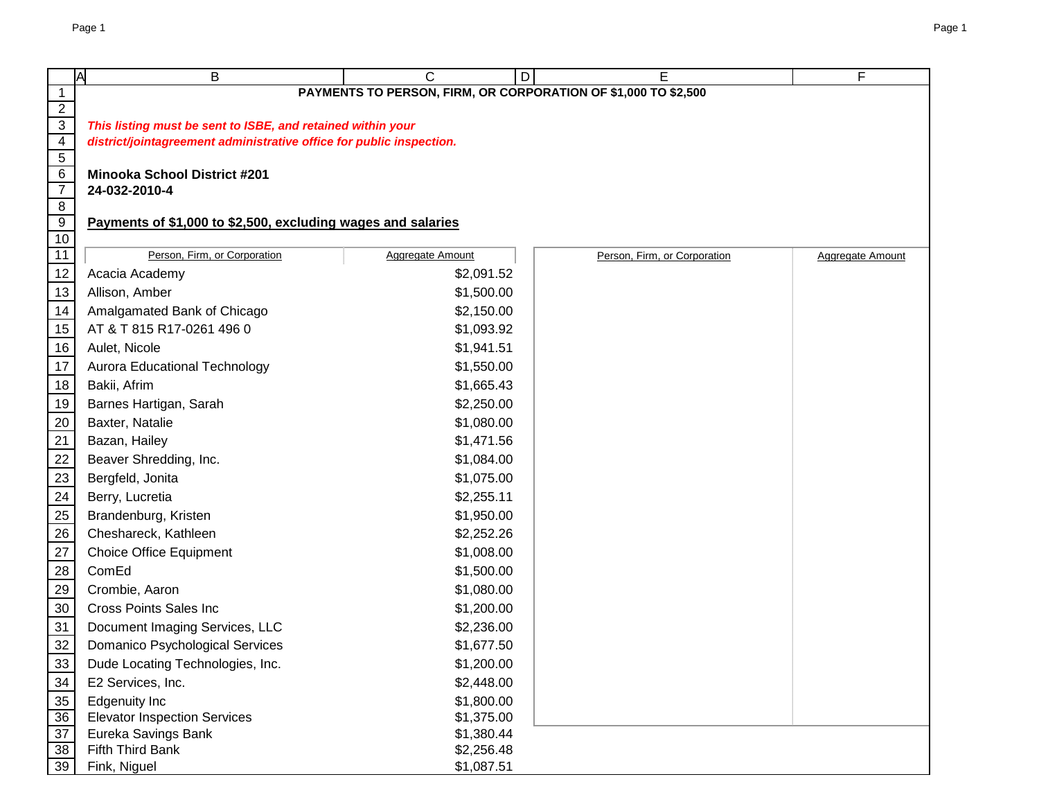|                                   | <b>A</b><br>B                                                        | C<br>D                                                         | Е                            | F                       |
|-----------------------------------|----------------------------------------------------------------------|----------------------------------------------------------------|------------------------------|-------------------------|
| $\mathbf{1}$                      |                                                                      | PAYMENTS TO PERSON, FIRM, OR CORPORATION OF \$1,000 TO \$2,500 |                              |                         |
| $\overline{2}$                    |                                                                      |                                                                |                              |                         |
| $\overline{3}$                    | This listing must be sent to ISBE, and retained within your          |                                                                |                              |                         |
| $\overline{4}$                    | district/jointagreement administrative office for public inspection. |                                                                |                              |                         |
| $\overline{5}$                    |                                                                      |                                                                |                              |                         |
| $6\overline{6}$<br>$\overline{7}$ | <b>Minooka School District #201</b><br>24-032-2010-4                 |                                                                |                              |                         |
| $\overline{8}$                    |                                                                      |                                                                |                              |                         |
| 9                                 | Payments of \$1,000 to \$2,500, excluding wages and salaries         |                                                                |                              |                         |
| 10                                |                                                                      |                                                                |                              |                         |
| 11                                | Person, Firm, or Corporation                                         | <b>Aggregate Amount</b>                                        | Person, Firm, or Corporation | <b>Aggregate Amount</b> |
| 12                                | Acacia Academy                                                       | \$2,091.52                                                     |                              |                         |
| 13                                | Allison, Amber                                                       | \$1,500.00                                                     |                              |                         |
| 14                                | Amalgamated Bank of Chicago                                          | \$2,150.00                                                     |                              |                         |
| 15                                | AT & T 815 R17-0261 496 0                                            | \$1,093.92                                                     |                              |                         |
| 16                                | Aulet, Nicole                                                        | \$1,941.51                                                     |                              |                         |
| 17                                | <b>Aurora Educational Technology</b>                                 | \$1,550.00                                                     |                              |                         |
| 18                                | Bakii, Afrim                                                         | \$1,665.43                                                     |                              |                         |
| 19                                | Barnes Hartigan, Sarah                                               | \$2,250.00                                                     |                              |                         |
| 20                                | Baxter, Natalie                                                      | \$1,080.00                                                     |                              |                         |
| 21                                | Bazan, Hailey                                                        | \$1,471.56                                                     |                              |                         |
| 22                                | Beaver Shredding, Inc.                                               | \$1,084.00                                                     |                              |                         |
| 23                                | Bergfeld, Jonita                                                     | \$1,075.00                                                     |                              |                         |
| 24                                | Berry, Lucretia                                                      | \$2,255.11                                                     |                              |                         |
| 25                                | Brandenburg, Kristen                                                 | \$1,950.00                                                     |                              |                         |
| 26                                | Cheshareck, Kathleen                                                 | \$2,252.26                                                     |                              |                         |
| 27                                | <b>Choice Office Equipment</b>                                       | \$1,008.00                                                     |                              |                         |
| 28                                | ComEd                                                                | \$1,500.00                                                     |                              |                         |
| 29                                | Crombie, Aaron                                                       | \$1,080.00                                                     |                              |                         |
| $30\,$                            | <b>Cross Points Sales Inc</b>                                        | \$1,200.00                                                     |                              |                         |
| 31                                | Document Imaging Services, LLC                                       | \$2,236.00                                                     |                              |                         |
| 32                                | Domanico Psychological Services                                      | \$1,677.50                                                     |                              |                         |
| 33                                | Dude Locating Technologies, Inc.                                     | \$1,200.00                                                     |                              |                         |
| 34                                | E2 Services, Inc.                                                    | \$2,448.00                                                     |                              |                         |
| 35                                | <b>Edgenuity Inc</b>                                                 | \$1,800.00                                                     |                              |                         |
| 36                                | <b>Elevator Inspection Services</b>                                  | \$1,375.00                                                     |                              |                         |
| $\overline{37}$                   | Eureka Savings Bank                                                  | \$1,380.44                                                     |                              |                         |
| 38                                | Fifth Third Bank                                                     | \$2,256.48                                                     |                              |                         |
| 39                                | Fink, Niguel                                                         | \$1,087.51                                                     |                              |                         |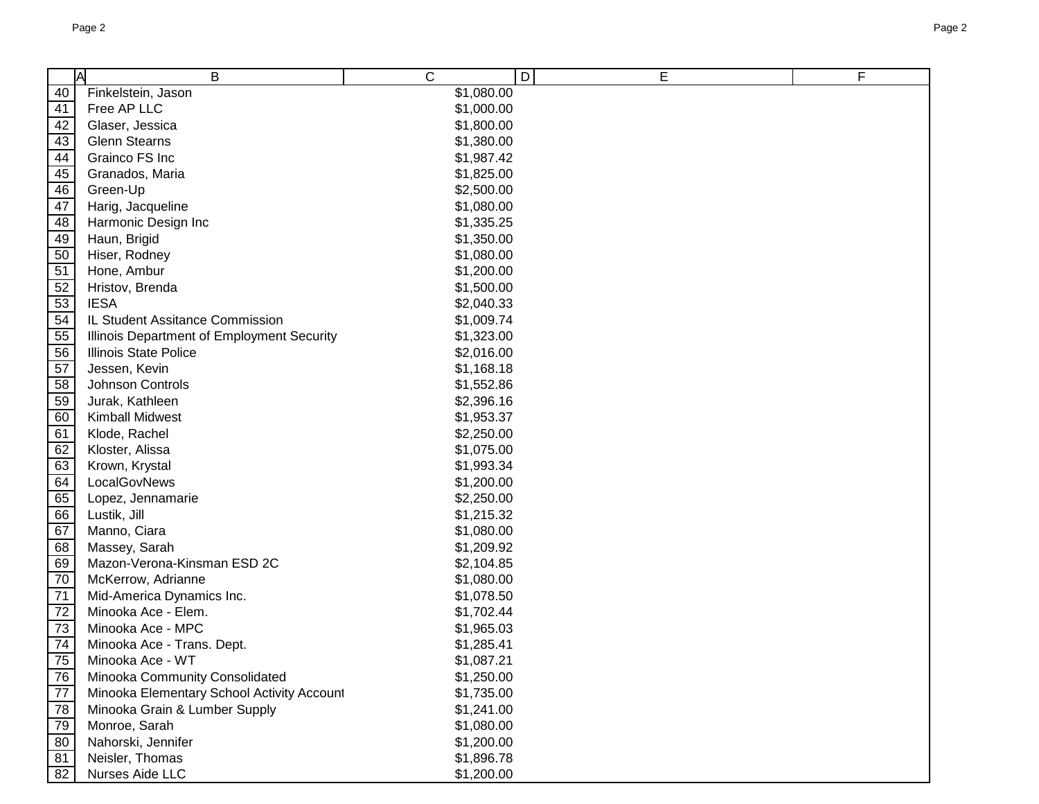|    | A<br>B                                     | C          | D<br>E | F |
|----|--------------------------------------------|------------|--------|---|
| 40 | Finkelstein, Jason                         | \$1,080.00 |        |   |
| 41 | Free AP LLC                                | \$1,000.00 |        |   |
| 42 | Glaser, Jessica                            | \$1,800.00 |        |   |
| 43 | <b>Glenn Stearns</b>                       | \$1,380.00 |        |   |
| 44 | Grainco FS Inc                             | \$1,987.42 |        |   |
| 45 | Granados, Maria                            | \$1,825.00 |        |   |
| 46 | Green-Up                                   | \$2,500.00 |        |   |
| 47 | Harig, Jacqueline                          | \$1,080.00 |        |   |
| 48 | Harmonic Design Inc                        | \$1,335.25 |        |   |
| 49 | Haun, Brigid                               | \$1,350.00 |        |   |
| 50 | Hiser, Rodney                              | \$1,080.00 |        |   |
| 51 | Hone, Ambur                                | \$1,200.00 |        |   |
| 52 | Hristov, Brenda                            | \$1,500.00 |        |   |
| 53 | <b>IESA</b>                                | \$2,040.33 |        |   |
| 54 | IL Student Assitance Commission            | \$1,009.74 |        |   |
| 55 | Illinois Department of Employment Security | \$1,323.00 |        |   |
| 56 | <b>Illinois State Police</b>               | \$2,016.00 |        |   |
| 57 | Jessen, Kevin                              | \$1,168.18 |        |   |
| 58 | Johnson Controls                           | \$1,552.86 |        |   |
| 59 | Jurak, Kathleen                            | \$2,396.16 |        |   |
| 60 | <b>Kimball Midwest</b>                     | \$1,953.37 |        |   |
| 61 | Klode, Rachel                              | \$2,250.00 |        |   |
| 62 | Kloster, Alissa                            | \$1,075.00 |        |   |
| 63 | Krown, Krystal                             | \$1,993.34 |        |   |
| 64 | LocalGovNews                               | \$1,200.00 |        |   |
| 65 | Lopez, Jennamarie                          | \$2,250.00 |        |   |
| 66 | Lustik, Jill                               | \$1,215.32 |        |   |
| 67 | Manno, Ciara                               | \$1,080.00 |        |   |
| 68 | Massey, Sarah                              | \$1,209.92 |        |   |
| 69 | Mazon-Verona-Kinsman ESD 2C                | \$2,104.85 |        |   |
| 70 | McKerrow, Adrianne                         | \$1,080.00 |        |   |
| 71 | Mid-America Dynamics Inc.                  | \$1,078.50 |        |   |
| 72 | Minooka Ace - Elem.                        | \$1,702.44 |        |   |
| 73 | Minooka Ace - MPC                          | \$1,965.03 |        |   |
| 74 | Minooka Ace - Trans. Dept.                 | \$1,285.41 |        |   |
| 75 | Minooka Ace - WT                           | \$1,087.21 |        |   |
| 76 | Minooka Community Consolidated             | \$1,250.00 |        |   |
| 77 | Minooka Elementary School Activity Account | \$1,735.00 |        |   |
| 78 | Minooka Grain & Lumber Supply              | \$1,241.00 |        |   |
| 79 | Monroe, Sarah                              | \$1,080.00 |        |   |
| 80 | Nahorski, Jennifer                         | \$1,200.00 |        |   |
| 81 | Neisler, Thomas                            | \$1,896.78 |        |   |
| 82 | Nurses Aide LLC                            | \$1,200.00 |        |   |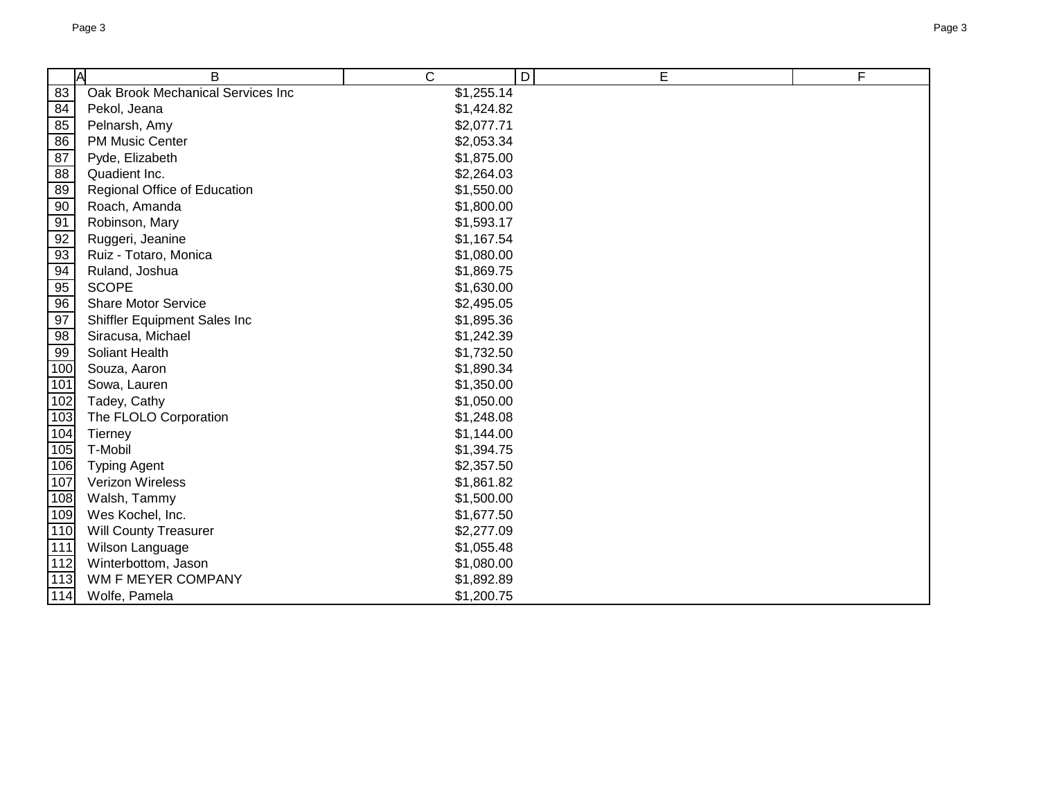|                  | A<br>B                            | C          | $\overline{D}$<br>E | F |
|------------------|-----------------------------------|------------|---------------------|---|
| 83               | Oak Brook Mechanical Services Inc | \$1,255.14 |                     |   |
| 84               | Pekol, Jeana                      | \$1,424.82 |                     |   |
| 85               | Pelnarsh, Amy                     | \$2,077.71 |                     |   |
| 86               | <b>PM Music Center</b>            | \$2,053.34 |                     |   |
| 87               | Pyde, Elizabeth                   | \$1,875.00 |                     |   |
| 88               | Quadient Inc.                     | \$2,264.03 |                     |   |
| 89               | Regional Office of Education      | \$1,550.00 |                     |   |
| 90               | Roach, Amanda                     | \$1,800.00 |                     |   |
| 91               | Robinson, Mary                    | \$1,593.17 |                     |   |
| 92               | Ruggeri, Jeanine                  | \$1,167.54 |                     |   |
| 93               | Ruiz - Totaro, Monica             | \$1,080.00 |                     |   |
| 94               | Ruland, Joshua                    | \$1,869.75 |                     |   |
| 95               | <b>SCOPE</b>                      | \$1,630.00 |                     |   |
| 96               | <b>Share Motor Service</b>        | \$2,495.05 |                     |   |
| 97               | Shiffler Equipment Sales Inc      | \$1,895.36 |                     |   |
| 98               | Siracusa, Michael                 | \$1,242.39 |                     |   |
| 99               | Soliant Health                    | \$1,732.50 |                     |   |
| 100              | Souza, Aaron                      | \$1,890.34 |                     |   |
| 101              | Sowa, Lauren                      | \$1,350.00 |                     |   |
| 102              | Tadey, Cathy                      | \$1,050.00 |                     |   |
| 103              | The FLOLO Corporation             | \$1,248.08 |                     |   |
| 104              | Tierney                           | \$1,144.00 |                     |   |
| 105              | T-Mobil                           | \$1,394.75 |                     |   |
| 106              | <b>Typing Agent</b>               | \$2,357.50 |                     |   |
| 107              | Verizon Wireless                  | \$1,861.82 |                     |   |
| 108              | Walsh, Tammy                      | \$1,500.00 |                     |   |
| 109              | Wes Kochel, Inc.                  | \$1,677.50 |                     |   |
| 110              | Will County Treasurer             | \$2,277.09 |                     |   |
| $\overline{111}$ | Wilson Language                   | \$1,055.48 |                     |   |
| 112              | Winterbottom, Jason               | \$1,080.00 |                     |   |
| 113              | WM F MEYER COMPANY                | \$1,892.89 |                     |   |
| 114              | Wolfe, Pamela                     | \$1,200.75 |                     |   |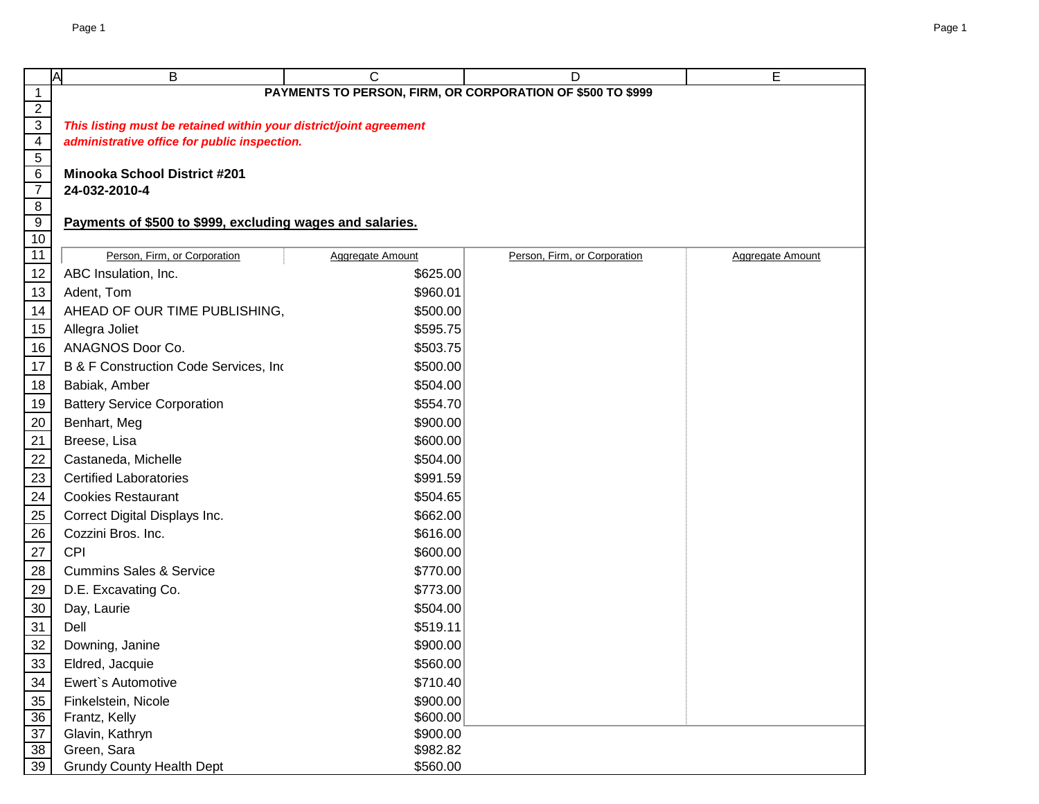|                                   | <b>A</b><br>B                                                      | C                       | D                                                          | Е                       |
|-----------------------------------|--------------------------------------------------------------------|-------------------------|------------------------------------------------------------|-------------------------|
| $\mathbf{1}$                      |                                                                    |                         | PAYMENTS TO PERSON, FIRM, OR CORPORATION OF \$500 TO \$999 |                         |
| $\overline{2}$                    |                                                                    |                         |                                                            |                         |
| $\overline{3}$                    | This listing must be retained within your district/joint agreement |                         |                                                            |                         |
| $\overline{4}$                    | administrative office for public inspection.                       |                         |                                                            |                         |
| $\overline{5}$                    |                                                                    |                         |                                                            |                         |
| $6\overline{6}$<br>$\overline{7}$ | <b>Minooka School District #201</b><br>24-032-2010-4               |                         |                                                            |                         |
| $\overline{8}$                    |                                                                    |                         |                                                            |                         |
| $\overline{9}$                    | Payments of \$500 to \$999, excluding wages and salaries.          |                         |                                                            |                         |
| 10                                |                                                                    |                         |                                                            |                         |
| 11                                | Person, Firm, or Corporation                                       | <b>Aggregate Amount</b> | Person, Firm, or Corporation                               | <b>Aggregate Amount</b> |
| 12                                | ABC Insulation, Inc.                                               | \$625.00                |                                                            |                         |
| 13                                | Adent, Tom                                                         | \$960.01                |                                                            |                         |
| 14                                | AHEAD OF OUR TIME PUBLISHING,                                      | \$500.00                |                                                            |                         |
| 15                                | Allegra Joliet                                                     | \$595.75                |                                                            |                         |
| 16                                | ANAGNOS Door Co.                                                   | \$503.75                |                                                            |                         |
| 17                                | B & F Construction Code Services, Inc.                             | \$500.00                |                                                            |                         |
| $18$                              | Babiak, Amber                                                      | \$504.00                |                                                            |                         |
| 19                                | <b>Battery Service Corporation</b>                                 | \$554.70                |                                                            |                         |
| 20                                | Benhart, Meg                                                       | \$900.00                |                                                            |                         |
| $\overline{21}$                   | Breese, Lisa                                                       | \$600.00                |                                                            |                         |
| 22                                | Castaneda, Michelle                                                | \$504.00                |                                                            |                         |
| 23                                | <b>Certified Laboratories</b>                                      | \$991.59                |                                                            |                         |
| 24                                | <b>Cookies Restaurant</b>                                          | \$504.65                |                                                            |                         |
| 25                                | Correct Digital Displays Inc.                                      | \$662.00                |                                                            |                         |
| 26                                | Cozzini Bros. Inc.                                                 | \$616.00                |                                                            |                         |
| 27                                | <b>CPI</b>                                                         | \$600.00                |                                                            |                         |
| $\overline{28}$                   | <b>Cummins Sales &amp; Service</b>                                 | \$770.00                |                                                            |                         |
| 29                                | D.E. Excavating Co.                                                | \$773.00                |                                                            |                         |
| 30                                | Day, Laurie                                                        | \$504.00                |                                                            |                         |
| 31                                | Dell                                                               | \$519.11                |                                                            |                         |
| 32                                | Downing, Janine                                                    | \$900.00                |                                                            |                         |
| 33                                | Eldred, Jacquie                                                    | \$560.00                |                                                            |                         |
| 34                                | Ewert's Automotive                                                 | \$710.40                |                                                            |                         |
| 35                                | Finkelstein, Nicole                                                | \$900.00                |                                                            |                         |
| 36                                | Frantz, Kelly                                                      | \$600.00                |                                                            |                         |
| $\overline{37}$                   | Glavin, Kathryn                                                    | \$900.00                |                                                            |                         |
| 38                                | Green, Sara                                                        | \$982.82                |                                                            |                         |
| 39                                | <b>Grundy County Health Dept</b>                                   | \$560.00                |                                                            |                         |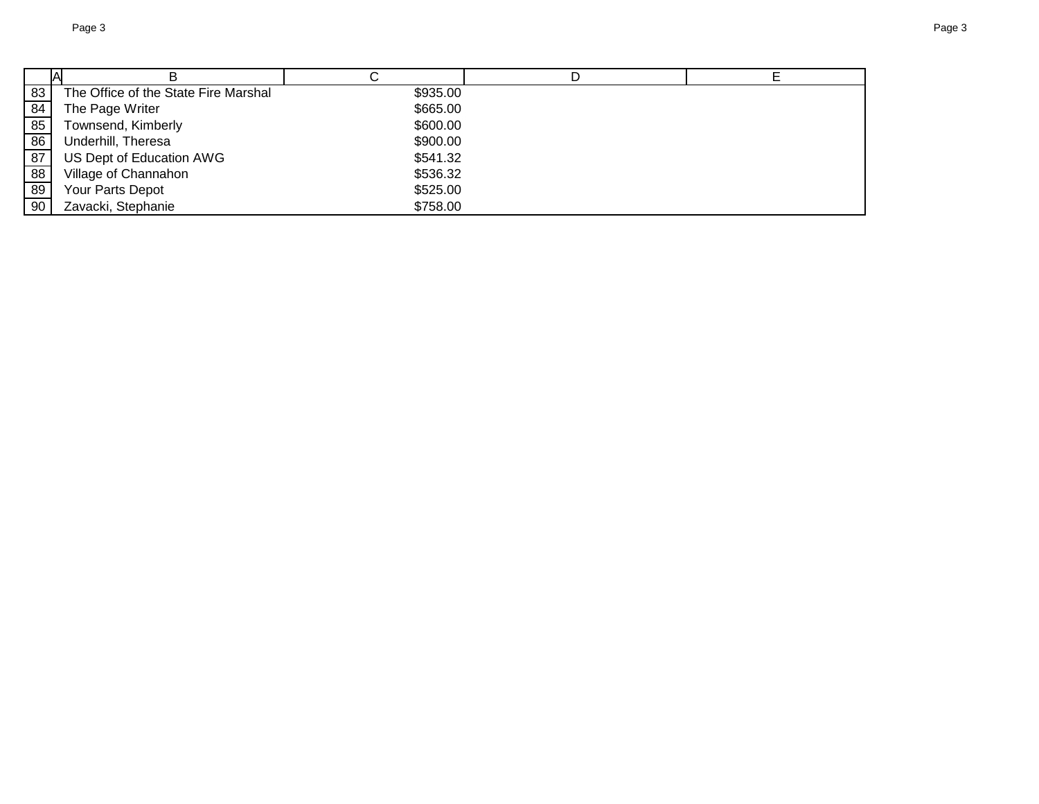| 83 | The Office of the State Fire Marshal | \$935.00 |  |
|----|--------------------------------------|----------|--|
| 84 | The Page Writer                      | \$665.00 |  |
| 85 | Townsend, Kimberly                   | \$600.00 |  |
| 86 | Underhill, Theresa                   | \$900.00 |  |
| 87 | US Dept of Education AWG             | \$541.32 |  |
| 88 | Village of Channahon                 | \$536.32 |  |
| 89 | Your Parts Depot                     | \$525.00 |  |
| 90 | Zavacki, Stephanie                   | \$758.00 |  |